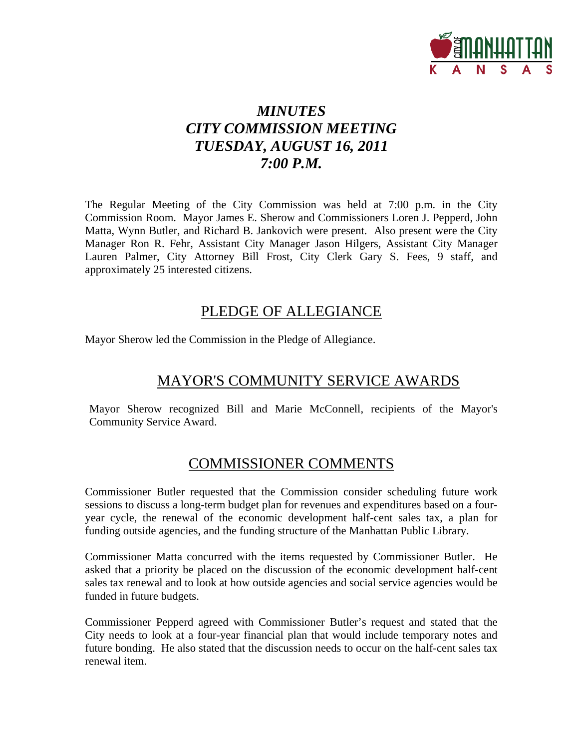

# *MINUTES CITY COMMISSION MEETING TUESDAY, AUGUST 16, 2011 7:00 P.M.*

The Regular Meeting of the City Commission was held at 7:00 p.m. in the City Commission Room. Mayor James E. Sherow and Commissioners Loren J. Pepperd, John Matta, Wynn Butler, and Richard B. Jankovich were present. Also present were the City Manager Ron R. Fehr, Assistant City Manager Jason Hilgers, Assistant City Manager Lauren Palmer, City Attorney Bill Frost, City Clerk Gary S. Fees, 9 staff, and approximately 25 interested citizens.

# PLEDGE OF ALLEGIANCE

Mayor Sherow led the Commission in the Pledge of Allegiance.

# MAYOR'S COMMUNITY SERVICE AWARDS

Mayor Sherow recognized Bill and Marie McConnell, recipients of the Mayor's Community Service Award.

# COMMISSIONER COMMENTS

Commissioner Butler requested that the Commission consider scheduling future work sessions to discuss a long-term budget plan for revenues and expenditures based on a fouryear cycle, the renewal of the economic development half-cent sales tax, a plan for funding outside agencies, and the funding structure of the Manhattan Public Library.

Commissioner Matta concurred with the items requested by Commissioner Butler. He asked that a priority be placed on the discussion of the economic development half-cent sales tax renewal and to look at how outside agencies and social service agencies would be funded in future budgets.

Commissioner Pepperd agreed with Commissioner Butler's request and stated that the City needs to look at a four-year financial plan that would include temporary notes and future bonding. He also stated that the discussion needs to occur on the half-cent sales tax renewal item.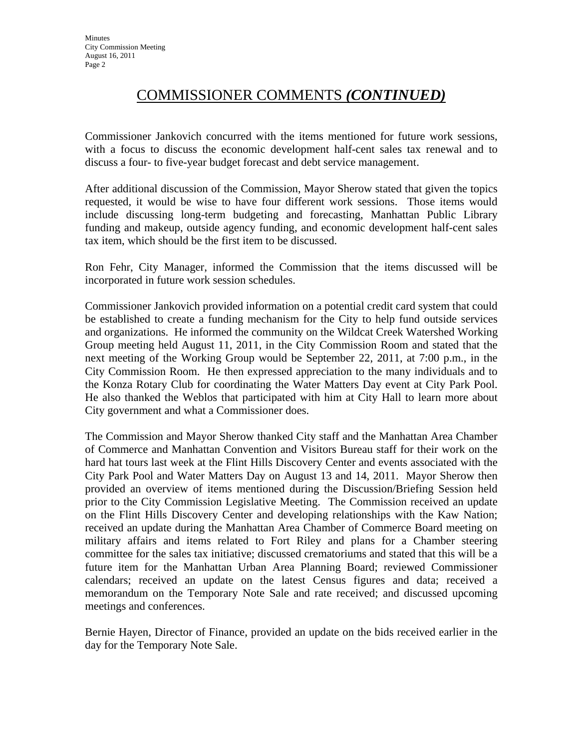# COMMISSIONER COMMENTS *(CONTINUED)*

Commissioner Jankovich concurred with the items mentioned for future work sessions, with a focus to discuss the economic development half-cent sales tax renewal and to discuss a four- to five-year budget forecast and debt service management.

After additional discussion of the Commission, Mayor Sherow stated that given the topics requested, it would be wise to have four different work sessions. Those items would include discussing long-term budgeting and forecasting, Manhattan Public Library funding and makeup, outside agency funding, and economic development half-cent sales tax item, which should be the first item to be discussed.

Ron Fehr, City Manager, informed the Commission that the items discussed will be incorporated in future work session schedules.

Commissioner Jankovich provided information on a potential credit card system that could be established to create a funding mechanism for the City to help fund outside services and organizations. He informed the community on the Wildcat Creek Watershed Working Group meeting held August 11, 2011, in the City Commission Room and stated that the next meeting of the Working Group would be September 22, 2011, at 7:00 p.m., in the City Commission Room. He then expressed appreciation to the many individuals and to the Konza Rotary Club for coordinating the Water Matters Day event at City Park Pool. He also thanked the Weblos that participated with him at City Hall to learn more about City government and what a Commissioner does.

The Commission and Mayor Sherow thanked City staff and the Manhattan Area Chamber of Commerce and Manhattan Convention and Visitors Bureau staff for their work on the hard hat tours last week at the Flint Hills Discovery Center and events associated with the City Park Pool and Water Matters Day on August 13 and 14, 2011. Mayor Sherow then provided an overview of items mentioned during the Discussion/Briefing Session held prior to the City Commission Legislative Meeting. The Commission received an update on the Flint Hills Discovery Center and developing relationships with the Kaw Nation; received an update during the Manhattan Area Chamber of Commerce Board meeting on military affairs and items related to Fort Riley and plans for a Chamber steering committee for the sales tax initiative; discussed crematoriums and stated that this will be a future item for the Manhattan Urban Area Planning Board; reviewed Commissioner calendars; received an update on the latest Census figures and data; received a memorandum on the Temporary Note Sale and rate received; and discussed upcoming meetings and conferences.

Bernie Hayen, Director of Finance, provided an update on the bids received earlier in the day for the Temporary Note Sale.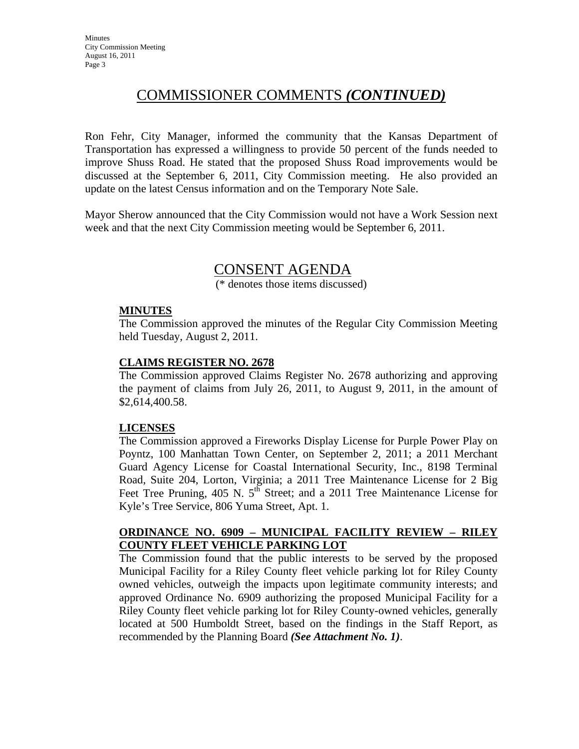# COMMISSIONER COMMENTS *(CONTINUED)*

Ron Fehr, City Manager, informed the community that the Kansas Department of Transportation has expressed a willingness to provide 50 percent of the funds needed to improve Shuss Road. He stated that the proposed Shuss Road improvements would be discussed at the September 6, 2011, City Commission meeting. He also provided an update on the latest Census information and on the Temporary Note Sale.

Mayor Sherow announced that the City Commission would not have a Work Session next week and that the next City Commission meeting would be September 6, 2011.

# CONSENT AGENDA

(\* denotes those items discussed)

### **MINUTES**

The Commission approved the minutes of the Regular City Commission Meeting held Tuesday, August 2, 2011.

### **CLAIMS REGISTER NO. 2678**

The Commission approved Claims Register No. 2678 authorizing and approving the payment of claims from July 26, 2011, to August 9, 2011, in the amount of \$2,614,400.58.

### **LICENSES**

The Commission approved a Fireworks Display License for Purple Power Play on Poyntz, 100 Manhattan Town Center, on September 2, 2011; a 2011 Merchant Guard Agency License for Coastal International Security, Inc., 8198 Terminal Road, Suite 204, Lorton, Virginia; a 2011 Tree Maintenance License for 2 Big Feet Tree Pruning, 405 N. 5<sup>th</sup> Street; and a 2011 Tree Maintenance License for Kyle's Tree Service, 806 Yuma Street, Apt. 1.

### **ORDINANCE NO. 6909 – MUNICIPAL FACILITY REVIEW – RILEY COUNTY FLEET VEHICLE PARKING LOT**

The Commission found that the public interests to be served by the proposed Municipal Facility for a Riley County fleet vehicle parking lot for Riley County owned vehicles, outweigh the impacts upon legitimate community interests; and approved Ordinance No. 6909 authorizing the proposed Municipal Facility for a Riley County fleet vehicle parking lot for Riley County-owned vehicles, generally located at 500 Humboldt Street, based on the findings in the Staff Report, as recommended by the Planning Board *(See Attachment No. 1)*.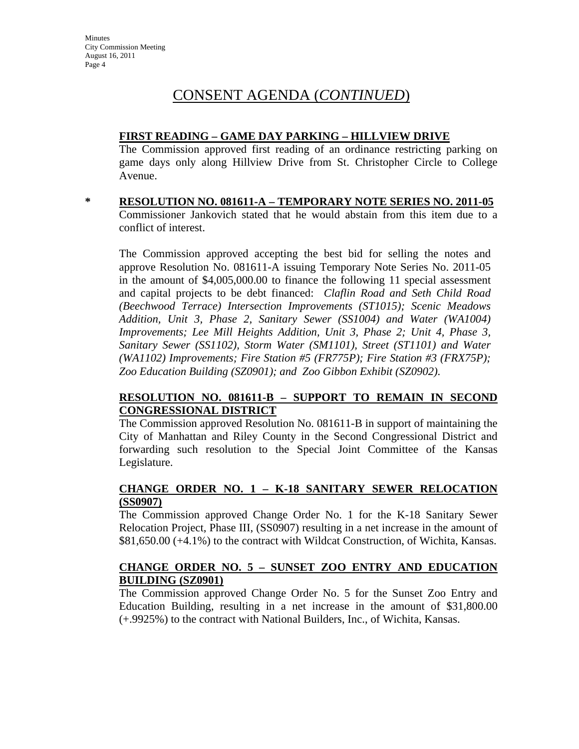### **FIRST READING – GAME DAY PARKING – HILLVIEW DRIVE**

The Commission approved first reading of an ordinance restricting parking on game days only along Hillview Drive from St. Christopher Circle to College Avenue.

**\* RESOLUTION NO. 081611-A – TEMPORARY NOTE SERIES NO. 2011-05** Commissioner Jankovich stated that he would abstain from this item due to a conflict of interest.

The Commission approved accepting the best bid for selling the notes and approve Resolution No. 081611-A issuing Temporary Note Series No. 2011-05 in the amount of \$4,005,000.00 to finance the following 11 special assessment and capital projects to be debt financed: *Claflin Road and Seth Child Road (Beechwood Terrace) Intersection Improvements (ST1015); Scenic Meadows Addition, Unit 3, Phase 2, Sanitary Sewer (SS1004) and Water (WA1004) Improvements; Lee Mill Heights Addition, Unit 3, Phase 2; Unit 4, Phase 3, Sanitary Sewer (SS1102), Storm Water (SM1101), Street (ST1101) and Water (WA1102) Improvements; Fire Station #5 (FR775P); Fire Station #3 (FRX75P); Zoo Education Building (SZ0901); and Zoo Gibbon Exhibit (SZ0902)*.

### **RESOLUTION NO. 081611-B – SUPPORT TO REMAIN IN SECOND CONGRESSIONAL DISTRICT**

The Commission approved Resolution No. 081611-B in support of maintaining the City of Manhattan and Riley County in the Second Congressional District and forwarding such resolution to the Special Joint Committee of the Kansas Legislature.

### **CHANGE ORDER NO. 1 – K-18 SANITARY SEWER RELOCATION (SS0907)**

The Commission approved Change Order No. 1 for the K-18 Sanitary Sewer Relocation Project, Phase III, (SS0907) resulting in a net increase in the amount of \$81,650.00 (+4.1%) to the contract with Wildcat Construction, of Wichita, Kansas.

### **CHANGE ORDER NO. 5 – SUNSET ZOO ENTRY AND EDUCATION BUILDING (SZ0901)**

The Commission approved Change Order No. 5 for the Sunset Zoo Entry and Education Building, resulting in a net increase in the amount of \$31,800.00 (+.9925%) to the contract with National Builders, Inc., of Wichita, Kansas.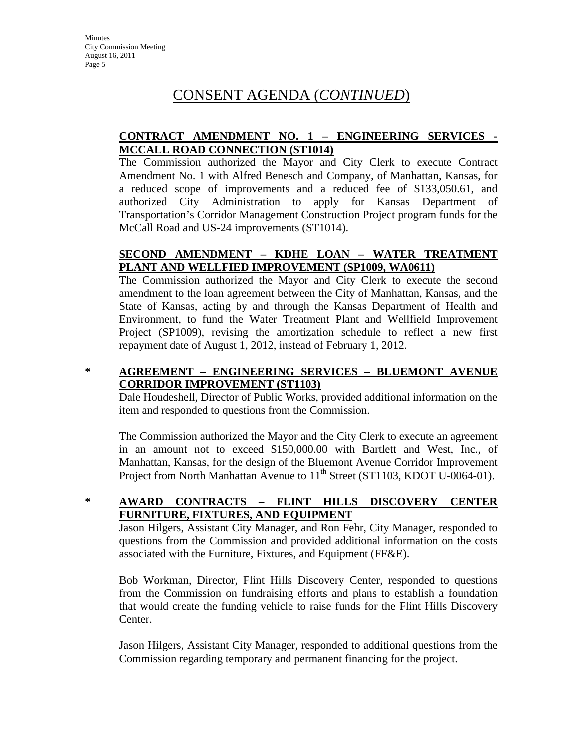## **CONTRACT AMENDMENT NO. 1 – ENGINEERING SERVICES - MCCALL ROAD CONNECTION (ST1014)**

The Commission authorized the Mayor and City Clerk to execute Contract Amendment No. 1 with Alfred Benesch and Company, of Manhattan, Kansas, for a reduced scope of improvements and a reduced fee of \$133,050.61, and authorized City Administration to apply for Kansas Department of Transportation's Corridor Management Construction Project program funds for the McCall Road and US-24 improvements (ST1014).

## **SECOND AMENDMENT – KDHE LOAN – WATER TREATMENT PLANT AND WELLFIED IMPROVEMENT (SP1009, WA0611)**

The Commission authorized the Mayor and City Clerk to execute the second amendment to the loan agreement between the City of Manhattan, Kansas, and the State of Kansas, acting by and through the Kansas Department of Health and Environment, to fund the Water Treatment Plant and Wellfield Improvement Project (SP1009), revising the amortization schedule to reflect a new first repayment date of August 1, 2012, instead of February 1, 2012.

## **\* AGREEMENT – ENGINEERING SERVICES – BLUEMONT AVENUE CORRIDOR IMPROVEMENT (ST1103)**

Dale Houdeshell, Director of Public Works, provided additional information on the item and responded to questions from the Commission.

The Commission authorized the Mayor and the City Clerk to execute an agreement in an amount not to exceed \$150,000.00 with Bartlett and West, Inc., of Manhattan, Kansas, for the design of the Bluemont Avenue Corridor Improvement Project from North Manhattan Avenue to  $11<sup>th</sup>$  Street (ST1103, KDOT U-0064-01).

## **\* AWARD CONTRACTS – FLINT HILLS DISCOVERY CENTER FURNITURE, FIXTURES, AND EQUIPMENT**

Jason Hilgers, Assistant City Manager, and Ron Fehr, City Manager, responded to questions from the Commission and provided additional information on the costs associated with the Furniture, Fixtures, and Equipment (FF&E).

Bob Workman, Director, Flint Hills Discovery Center, responded to questions from the Commission on fundraising efforts and plans to establish a foundation that would create the funding vehicle to raise funds for the Flint Hills Discovery Center.

Jason Hilgers, Assistant City Manager, responded to additional questions from the Commission regarding temporary and permanent financing for the project.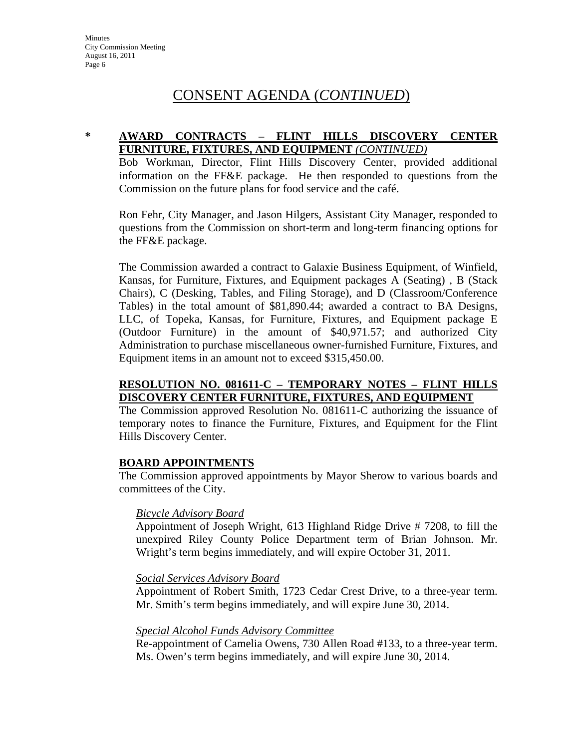### **\* AWARD CONTRACTS – FLINT HILLS DISCOVERY CENTER FURNITURE, FIXTURES, AND EQUIPMENT** *(CONTINUED)*

Bob Workman, Director, Flint Hills Discovery Center, provided additional information on the FF&E package. He then responded to questions from the Commission on the future plans for food service and the café.

Ron Fehr, City Manager, and Jason Hilgers, Assistant City Manager, responded to questions from the Commission on short-term and long-term financing options for the FF&E package.

The Commission awarded a contract to Galaxie Business Equipment, of Winfield, Kansas, for Furniture, Fixtures, and Equipment packages A (Seating) , B (Stack Chairs), C (Desking, Tables, and Filing Storage), and D (Classroom/Conference Tables) in the total amount of \$81,890.44; awarded a contract to BA Designs, LLC, of Topeka, Kansas, for Furniture, Fixtures, and Equipment package E (Outdoor Furniture) in the amount of \$40,971.57; and authorized City Administration to purchase miscellaneous owner-furnished Furniture, Fixtures, and Equipment items in an amount not to exceed \$315,450.00.

### **RESOLUTION NO. 081611-C – TEMPORARY NOTES – FLINT HILLS DISCOVERY CENTER FURNITURE, FIXTURES, AND EQUIPMENT**

The Commission approved Resolution No. 081611-C authorizing the issuance of temporary notes to finance the Furniture, Fixtures, and Equipment for the Flint Hills Discovery Center.

### **BOARD APPOINTMENTS**

The Commission approved appointments by Mayor Sherow to various boards and committees of the City.

### *Bicycle Advisory Board*

Appointment of Joseph Wright, 613 Highland Ridge Drive # 7208, to fill the unexpired Riley County Police Department term of Brian Johnson. Mr. Wright's term begins immediately, and will expire October 31, 2011.

### *Social Services Advisory Board*

Appointment of Robert Smith, 1723 Cedar Crest Drive, to a three-year term. Mr. Smith's term begins immediately, and will expire June 30, 2014.

### *Special Alcohol Funds Advisory Committee*

Re-appointment of Camelia Owens, 730 Allen Road #133, to a three-year term. Ms. Owen's term begins immediately, and will expire June 30, 2014.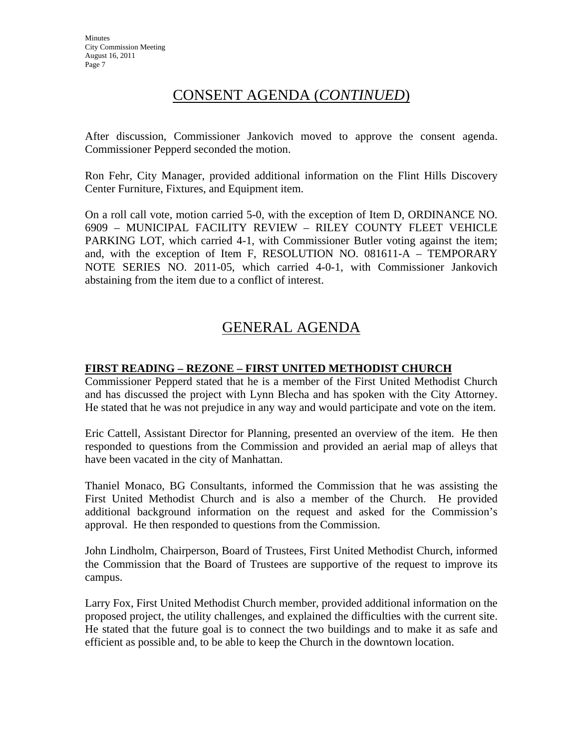After discussion, Commissioner Jankovich moved to approve the consent agenda. Commissioner Pepperd seconded the motion.

Ron Fehr, City Manager, provided additional information on the Flint Hills Discovery Center Furniture, Fixtures, and Equipment item.

On a roll call vote, motion carried 5-0, with the exception of Item D, ORDINANCE NO. 6909 – MUNICIPAL FACILITY REVIEW – RILEY COUNTY FLEET VEHICLE PARKING LOT, which carried 4-1, with Commissioner Butler voting against the item; and, with the exception of Item F, RESOLUTION NO. 081611-A – TEMPORARY NOTE SERIES NO. 2011-05, which carried 4-0-1, with Commissioner Jankovich abstaining from the item due to a conflict of interest.

# GENERAL AGENDA

### **FIRST READING – REZONE – FIRST UNITED METHODIST CHURCH**

Commissioner Pepperd stated that he is a member of the First United Methodist Church and has discussed the project with Lynn Blecha and has spoken with the City Attorney. He stated that he was not prejudice in any way and would participate and vote on the item.

Eric Cattell, Assistant Director for Planning, presented an overview of the item. He then responded to questions from the Commission and provided an aerial map of alleys that have been vacated in the city of Manhattan.

Thaniel Monaco, BG Consultants, informed the Commission that he was assisting the First United Methodist Church and is also a member of the Church. He provided additional background information on the request and asked for the Commission's approval. He then responded to questions from the Commission.

John Lindholm, Chairperson, Board of Trustees, First United Methodist Church, informed the Commission that the Board of Trustees are supportive of the request to improve its campus.

Larry Fox, First United Methodist Church member, provided additional information on the proposed project, the utility challenges, and explained the difficulties with the current site. He stated that the future goal is to connect the two buildings and to make it as safe and efficient as possible and, to be able to keep the Church in the downtown location.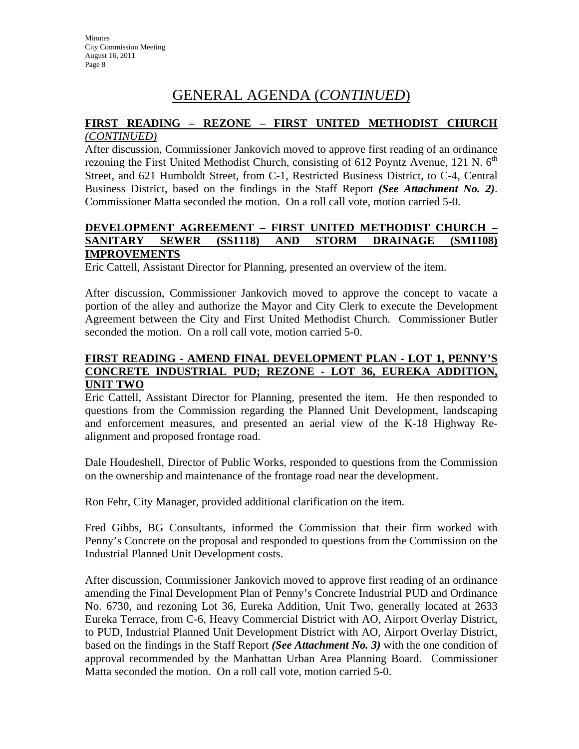# GENERAL AGENDA (*CONTINUED*)

### **FIRST READING – REZONE – FIRST UNITED METHODIST CHURCH** *(CONTINUED)*

After discussion, Commissioner Jankovich moved to approve first reading of an ordinance rezoning the First United Methodist Church, consisting of 612 Poyntz Avenue, 121 N.  $6<sup>th</sup>$ Street, and 621 Humboldt Street, from C-1, Restricted Business District, to C-4, Central Business District, based on the findings in the Staff Report *(See Attachment No. 2)*. Commissioner Matta seconded the motion. On a roll call vote, motion carried 5-0.

### **DEVELOPMENT AGREEMENT – FIRST UNITED METHODIST CHURCH – SANITARY SEWER (SS1118) AND STORM DRAINAGE (SM1108) IMPROVEMENTS**

Eric Cattell, Assistant Director for Planning, presented an overview of the item.

After discussion, Commissioner Jankovich moved to approve the concept to vacate a portion of the alley and authorize the Mayor and City Clerk to execute the Development Agreement between the City and First United Methodist Church. Commissioner Butler seconded the motion. On a roll call vote, motion carried 5-0.

## **FIRST READING - AMEND FINAL DEVELOPMENT PLAN - LOT 1, PENNY'S CONCRETE INDUSTRIAL PUD; REZONE - LOT 36, EUREKA ADDITION, UNIT TWO**

Eric Cattell, Assistant Director for Planning, presented the item. He then responded to questions from the Commission regarding the Planned Unit Development, landscaping and enforcement measures, and presented an aerial view of the K-18 Highway Realignment and proposed frontage road.

Dale Houdeshell, Director of Public Works, responded to questions from the Commission on the ownership and maintenance of the frontage road near the development.

Ron Fehr, City Manager, provided additional clarification on the item.

Fred Gibbs, BG Consultants, informed the Commission that their firm worked with Penny's Concrete on the proposal and responded to questions from the Commission on the Industrial Planned Unit Development costs.

After discussion, Commissioner Jankovich moved to approve first reading of an ordinance amending the Final Development Plan of Penny's Concrete Industrial PUD and Ordinance No. 6730, and rezoning Lot 36, Eureka Addition, Unit Two, generally located at 2633 Eureka Terrace, from C-6, Heavy Commercial District with AO, Airport Overlay District, to PUD, Industrial Planned Unit Development District with AO, Airport Overlay District, based on the findings in the Staff Report *(See Attachment No. 3)* with the one condition of approval recommended by the Manhattan Urban Area Planning Board. Commissioner Matta seconded the motion. On a roll call vote, motion carried 5-0.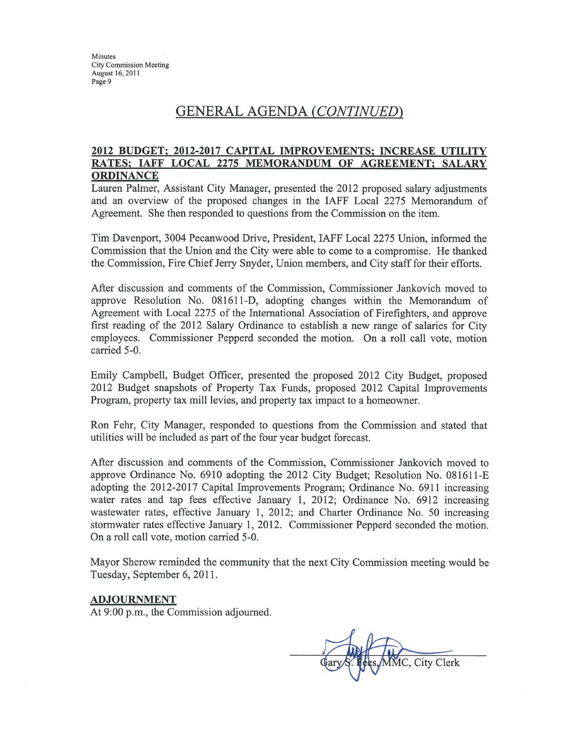Minutes **City Commission Meeting** August 16, 2011 Page 9

# GENERAL AGENDA (CONTINUED)

### 2012 BUDGET; 2012-2017 CAPITAL IMPROVEMENTS; INCREASE UTILITY RATES; IAFF LOCAL 2275 MEMORANDUM OF AGREEMENT; SALARY **ORDINANCE**

Lauren Palmer, Assistant City Manager, presented the 2012 proposed salary adjustments and an overview of the proposed changes in the IAFF Local 2275 Memorandum of Agreement. She then responded to questions from the Commission on the item.

Tim Davenport, 3004 Pecanwood Drive, President, IAFF Local 2275 Union, informed the Commission that the Union and the City were able to come to a compromise. He thanked the Commission, Fire Chief Jerry Snyder, Union members, and City staff for their efforts.

After discussion and comments of the Commission, Commissioner Jankovich moved to approve Resolution No. 081611-D, adopting changes within the Memorandum of Agreement with Local 2275 of the International Association of Firefighters, and approve first reading of the 2012 Salary Ordinance to establish a new range of salaries for City employees. Commissioner Pepperd seconded the motion. On a roll call vote, motion carried 5-0.

Emily Campbell, Budget Officer, presented the proposed 2012 City Budget, proposed 2012 Budget snapshots of Property Tax Funds, proposed 2012 Capital Improvements Program, property tax mill levies, and property tax impact to a homeowner.

Ron Fehr, City Manager, responded to questions from the Commission and stated that utilities will be included as part of the four year budget forecast.

After discussion and comments of the Commission, Commissioner Jankovich moved to approve Ordinance No. 6910 adopting the 2012 City Budget; Resolution No. 081611-E adopting the 2012-2017 Capital Improvements Program; Ordinance No. 6911 increasing water rates and tap fees effective January 1, 2012; Ordinance No. 6912 increasing wastewater rates, effective January 1, 2012; and Charter Ordinance No. 50 increasing stormwater rates effective January 1, 2012. Commissioner Pepperd seconded the motion. On a roll call vote, motion carried 5-0.

Mayor Sherow reminded the community that the next City Commission meeting would be Tuesday, September 6, 2011.

#### **ADJOURNMENT**

At 9:00 p.m., the Commission adjourned.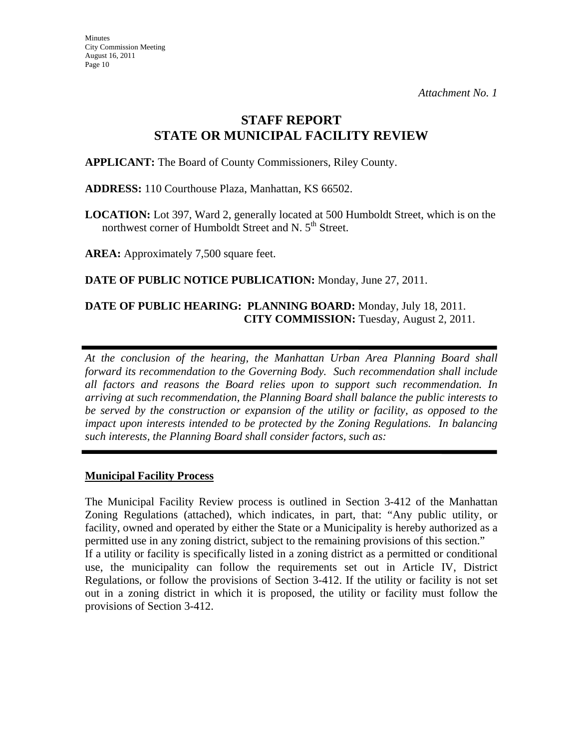# **STAFF REPORT STATE OR MUNICIPAL FACILITY REVIEW**

**APPLICANT:** The Board of County Commissioners, Riley County.

**ADDRESS:** 110 Courthouse Plaza, Manhattan, KS 66502.

**LOCATION:** Lot 397, Ward 2, generally located at 500 Humboldt Street, which is on the northwest corner of Humboldt Street and N. 5<sup>th</sup> Street.

**AREA:** Approximately 7,500 square feet.

**DATE OF PUBLIC NOTICE PUBLICATION:** Monday, June 27, 2011.

### **DATE OF PUBLIC HEARING: PLANNING BOARD:** Monday, July 18, 2011. **CITY COMMISSION:** Tuesday, August 2, 2011.

*At the conclusion of the hearing, the Manhattan Urban Area Planning Board shall forward its recommendation to the Governing Body. Such recommendation shall include all factors and reasons the Board relies upon to support such recommendation. In arriving at such recommendation, the Planning Board shall balance the public interests to be served by the construction or expansion of the utility or facility, as opposed to the impact upon interests intended to be protected by the Zoning Regulations. In balancing such interests, the Planning Board shall consider factors, such as:* 

### **Municipal Facility Process**

The Municipal Facility Review process is outlined in Section 3-412 of the Manhattan Zoning Regulations (attached), which indicates, in part, that: "Any public utility, or facility, owned and operated by either the State or a Municipality is hereby authorized as a permitted use in any zoning district, subject to the remaining provisions of this section." If a utility or facility is specifically listed in a zoning district as a permitted or conditional use, the municipality can follow the requirements set out in Article IV, District Regulations, or follow the provisions of Section 3-412. If the utility or facility is not set out in a zoning district in which it is proposed, the utility or facility must follow the provisions of Section 3-412.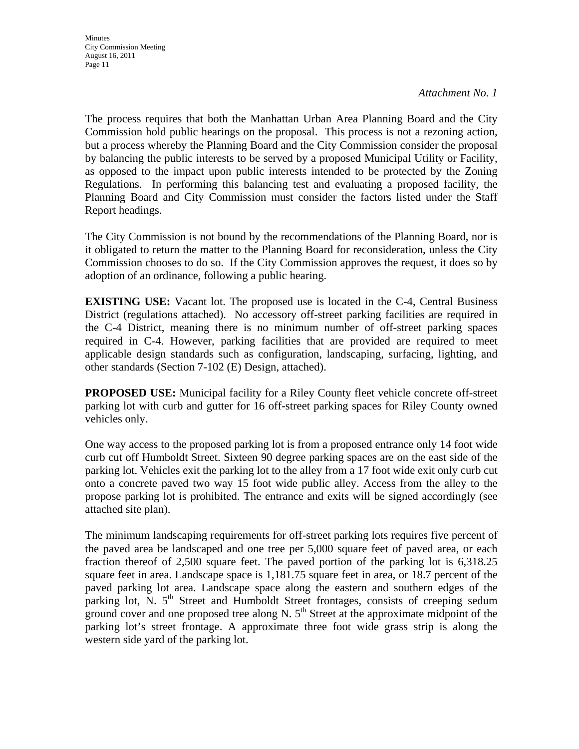The process requires that both the Manhattan Urban Area Planning Board and the City Commission hold public hearings on the proposal. This process is not a rezoning action, but a process whereby the Planning Board and the City Commission consider the proposal by balancing the public interests to be served by a proposed Municipal Utility or Facility, as opposed to the impact upon public interests intended to be protected by the Zoning Regulations. In performing this balancing test and evaluating a proposed facility, the Planning Board and City Commission must consider the factors listed under the Staff Report headings.

The City Commission is not bound by the recommendations of the Planning Board, nor is it obligated to return the matter to the Planning Board for reconsideration, unless the City Commission chooses to do so. If the City Commission approves the request, it does so by adoption of an ordinance, following a public hearing.

**EXISTING USE:** Vacant lot. The proposed use is located in the C-4, Central Business District (regulations attached). No accessory off-street parking facilities are required in the C-4 District, meaning there is no minimum number of off-street parking spaces required in C-4. However, parking facilities that are provided are required to meet applicable design standards such as configuration, landscaping, surfacing, lighting, and other standards (Section 7-102 (E) Design, attached).

**PROPOSED USE:** Municipal facility for a Riley County fleet vehicle concrete off-street parking lot with curb and gutter for 16 off-street parking spaces for Riley County owned vehicles only.

One way access to the proposed parking lot is from a proposed entrance only 14 foot wide curb cut off Humboldt Street. Sixteen 90 degree parking spaces are on the east side of the parking lot. Vehicles exit the parking lot to the alley from a 17 foot wide exit only curb cut onto a concrete paved two way 15 foot wide public alley. Access from the alley to the propose parking lot is prohibited. The entrance and exits will be signed accordingly (see attached site plan).

The minimum landscaping requirements for off-street parking lots requires five percent of the paved area be landscaped and one tree per 5,000 square feet of paved area, or each fraction thereof of 2,500 square feet. The paved portion of the parking lot is 6,318.25 square feet in area. Landscape space is 1,181.75 square feet in area, or 18.7 percent of the paved parking lot area. Landscape space along the eastern and southern edges of the parking lot, N.  $5<sup>th</sup>$  Street and Humboldt Street frontages, consists of creeping sedum ground cover and one proposed tree along N.  $5<sup>th</sup>$  Street at the approximate midpoint of the parking lot's street frontage. A approximate three foot wide grass strip is along the western side yard of the parking lot.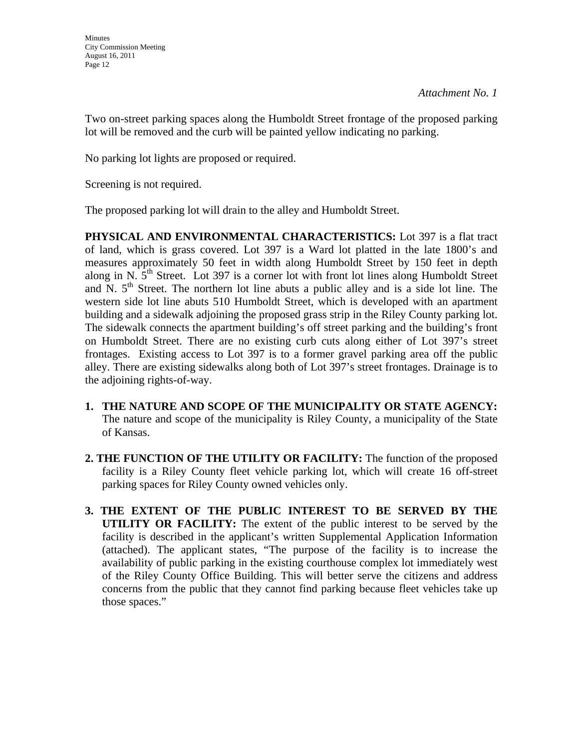Two on-street parking spaces along the Humboldt Street frontage of the proposed parking lot will be removed and the curb will be painted yellow indicating no parking.

No parking lot lights are proposed or required.

Screening is not required.

The proposed parking lot will drain to the alley and Humboldt Street.

**PHYSICAL AND ENVIRONMENTAL CHARACTERISTICS:** Lot 397 is a flat tract of land, which is grass covered. Lot 397 is a Ward lot platted in the late 1800's and measures approximately 50 feet in width along Humboldt Street by 150 feet in depth along in N.  $5<sup>th</sup>$  Street. Lot 397 is a corner lot with front lot lines along Humboldt Street and N.  $5<sup>th</sup>$  Street. The northern lot line abuts a public alley and is a side lot line. The western side lot line abuts 510 Humboldt Street, which is developed with an apartment building and a sidewalk adjoining the proposed grass strip in the Riley County parking lot. The sidewalk connects the apartment building's off street parking and the building's front on Humboldt Street. There are no existing curb cuts along either of Lot 397's street frontages. Existing access to Lot 397 is to a former gravel parking area off the public alley. There are existing sidewalks along both of Lot 397's street frontages. Drainage is to the adjoining rights-of-way.

- **1. THE NATURE AND SCOPE OF THE MUNICIPALITY OR STATE AGENCY:**  The nature and scope of the municipality is Riley County, a municipality of the State of Kansas.
- **2. THE FUNCTION OF THE UTILITY OR FACILITY:** The function of the proposed facility is a Riley County fleet vehicle parking lot, which will create 16 off-street parking spaces for Riley County owned vehicles only.
- **3. THE EXTENT OF THE PUBLIC INTEREST TO BE SERVED BY THE UTILITY OR FACILITY:** The extent of the public interest to be served by the facility is described in the applicant's written Supplemental Application Information (attached). The applicant states, "The purpose of the facility is to increase the availability of public parking in the existing courthouse complex lot immediately west of the Riley County Office Building. This will better serve the citizens and address concerns from the public that they cannot find parking because fleet vehicles take up those spaces."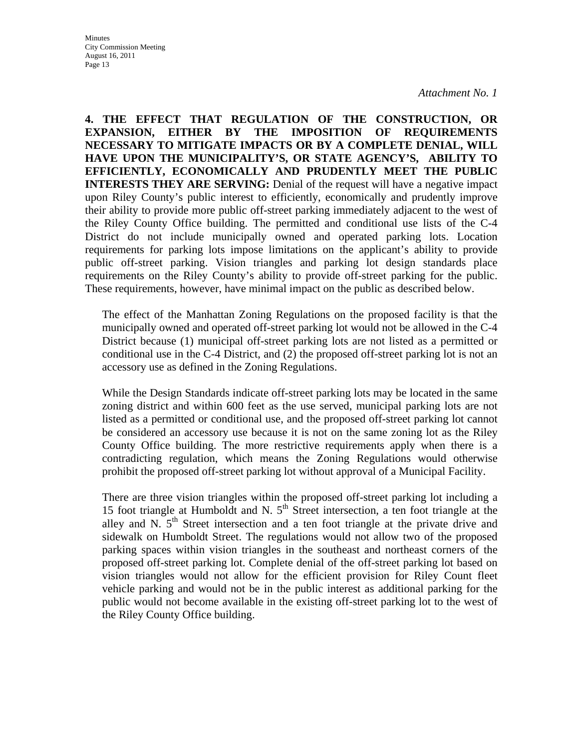**4. THE EFFECT THAT REGULATION OF THE CONSTRUCTION, OR EXPANSION, EITHER BY THE IMPOSITION OF REQUIREMENTS NECESSARY TO MITIGATE IMPACTS OR BY A COMPLETE DENIAL, WILL HAVE UPON THE MUNICIPALITY'S, OR STATE AGENCY'S, ABILITY TO EFFICIENTLY, ECONOMICALLY AND PRUDENTLY MEET THE PUBLIC INTERESTS THEY ARE SERVING:** Denial of the request will have a negative impact upon Riley County's public interest to efficiently, economically and prudently improve their ability to provide more public off-street parking immediately adjacent to the west of the Riley County Office building. The permitted and conditional use lists of the C-4 District do not include municipally owned and operated parking lots. Location requirements for parking lots impose limitations on the applicant's ability to provide public off-street parking. Vision triangles and parking lot design standards place requirements on the Riley County's ability to provide off-street parking for the public. These requirements, however, have minimal impact on the public as described below.

The effect of the Manhattan Zoning Regulations on the proposed facility is that the municipally owned and operated off-street parking lot would not be allowed in the C-4 District because (1) municipal off-street parking lots are not listed as a permitted or conditional use in the C-4 District, and (2) the proposed off-street parking lot is not an accessory use as defined in the Zoning Regulations.

While the Design Standards indicate off-street parking lots may be located in the same zoning district and within 600 feet as the use served, municipal parking lots are not listed as a permitted or conditional use, and the proposed off-street parking lot cannot be considered an accessory use because it is not on the same zoning lot as the Riley County Office building. The more restrictive requirements apply when there is a contradicting regulation, which means the Zoning Regulations would otherwise prohibit the proposed off-street parking lot without approval of a Municipal Facility.

There are three vision triangles within the proposed off-street parking lot including a 15 foot triangle at Humboldt and N.  $5<sup>th</sup>$  Street intersection, a ten foot triangle at the alley and N.  $5<sup>th</sup>$  Street intersection and a ten foot triangle at the private drive and sidewalk on Humboldt Street. The regulations would not allow two of the proposed parking spaces within vision triangles in the southeast and northeast corners of the proposed off-street parking lot. Complete denial of the off-street parking lot based on vision triangles would not allow for the efficient provision for Riley Count fleet vehicle parking and would not be in the public interest as additional parking for the public would not become available in the existing off-street parking lot to the west of the Riley County Office building.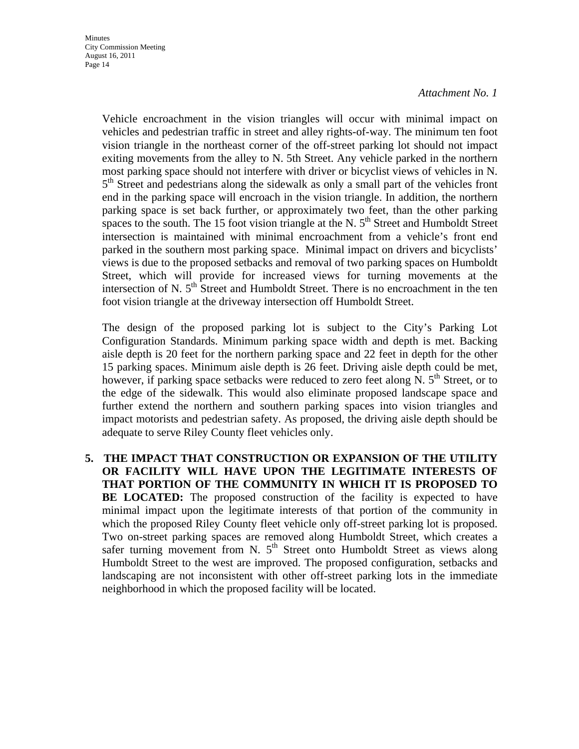Vehicle encroachment in the vision triangles will occur with minimal impact on vehicles and pedestrian traffic in street and alley rights-of-way. The minimum ten foot vision triangle in the northeast corner of the off-street parking lot should not impact exiting movements from the alley to N. 5th Street. Any vehicle parked in the northern most parking space should not interfere with driver or bicyclist views of vehicles in N.  $5<sup>th</sup>$  Street and pedestrians along the sidewalk as only a small part of the vehicles front end in the parking space will encroach in the vision triangle. In addition, the northern parking space is set back further, or approximately two feet, than the other parking spaces to the south. The 15 foot vision triangle at the N.  $5<sup>th</sup>$  Street and Humboldt Street intersection is maintained with minimal encroachment from a vehicle's front end parked in the southern most parking space. Minimal impact on drivers and bicyclists' views is due to the proposed setbacks and removal of two parking spaces on Humboldt Street, which will provide for increased views for turning movements at the intersection of N.  $5<sup>th</sup>$  Street and Humboldt Street. There is no encroachment in the ten foot vision triangle at the driveway intersection off Humboldt Street.

The design of the proposed parking lot is subject to the City's Parking Lot Configuration Standards. Minimum parking space width and depth is met. Backing aisle depth is 20 feet for the northern parking space and 22 feet in depth for the other 15 parking spaces. Minimum aisle depth is 26 feet. Driving aisle depth could be met, however, if parking space setbacks were reduced to zero feet along N.  $5<sup>th</sup>$  Street, or to the edge of the sidewalk. This would also eliminate proposed landscape space and further extend the northern and southern parking spaces into vision triangles and impact motorists and pedestrian safety. As proposed, the driving aisle depth should be adequate to serve Riley County fleet vehicles only.

**5. THE IMPACT THAT CONSTRUCTION OR EXPANSION OF THE UTILITY OR FACILITY WILL HAVE UPON THE LEGITIMATE INTERESTS OF THAT PORTION OF THE COMMUNITY IN WHICH IT IS PROPOSED TO BE LOCATED:** The proposed construction of the facility is expected to have minimal impact upon the legitimate interests of that portion of the community in which the proposed Riley County fleet vehicle only off-street parking lot is proposed. Two on-street parking spaces are removed along Humboldt Street, which creates a safer turning movement from N.  $5<sup>th</sup>$  Street onto Humboldt Street as views along Humboldt Street to the west are improved. The proposed configuration, setbacks and landscaping are not inconsistent with other off-street parking lots in the immediate neighborhood in which the proposed facility will be located.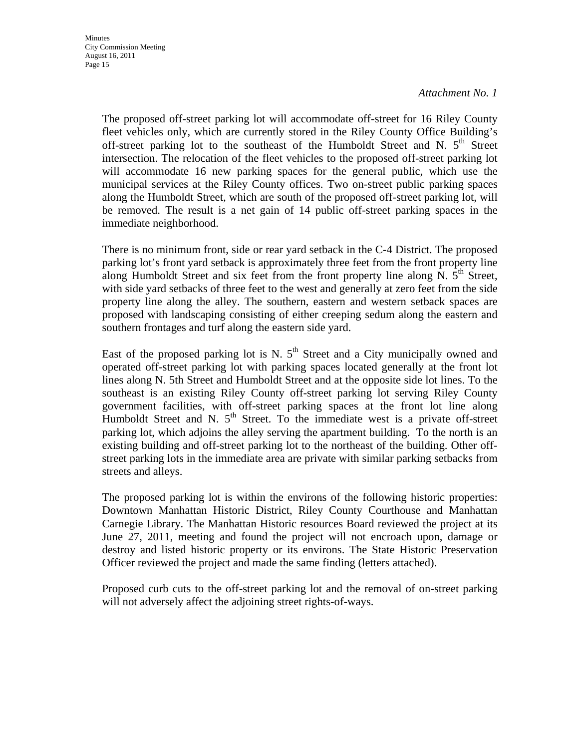The proposed off-street parking lot will accommodate off-street for 16 Riley County fleet vehicles only, which are currently stored in the Riley County Office Building's off-street parking lot to the southeast of the Humboldt Street and N.  $5<sup>th</sup>$  Street intersection. The relocation of the fleet vehicles to the proposed off-street parking lot will accommodate 16 new parking spaces for the general public, which use the municipal services at the Riley County offices. Two on-street public parking spaces along the Humboldt Street, which are south of the proposed off-street parking lot, will be removed. The result is a net gain of 14 public off-street parking spaces in the immediate neighborhood.

There is no minimum front, side or rear yard setback in the C-4 District. The proposed parking lot's front yard setback is approximately three feet from the front property line along Humboldt Street and six feet from the front property line along N.  $5<sup>th</sup>$  Street, with side yard setbacks of three feet to the west and generally at zero feet from the side property line along the alley. The southern, eastern and western setback spaces are proposed with landscaping consisting of either creeping sedum along the eastern and southern frontages and turf along the eastern side yard.

East of the proposed parking lot is N.  $5<sup>th</sup>$  Street and a City municipally owned and operated off-street parking lot with parking spaces located generally at the front lot lines along N. 5th Street and Humboldt Street and at the opposite side lot lines. To the southeast is an existing Riley County off-street parking lot serving Riley County government facilities, with off-street parking spaces at the front lot line along Humboldt Street and N.  $5<sup>th</sup>$  Street. To the immediate west is a private off-street parking lot, which adjoins the alley serving the apartment building. To the north is an existing building and off-street parking lot to the northeast of the building. Other offstreet parking lots in the immediate area are private with similar parking setbacks from streets and alleys.

The proposed parking lot is within the environs of the following historic properties: Downtown Manhattan Historic District, Riley County Courthouse and Manhattan Carnegie Library. The Manhattan Historic resources Board reviewed the project at its June 27, 2011, meeting and found the project will not encroach upon, damage or destroy and listed historic property or its environs. The State Historic Preservation Officer reviewed the project and made the same finding (letters attached).

Proposed curb cuts to the off-street parking lot and the removal of on-street parking will not adversely affect the adjoining street rights-of-ways.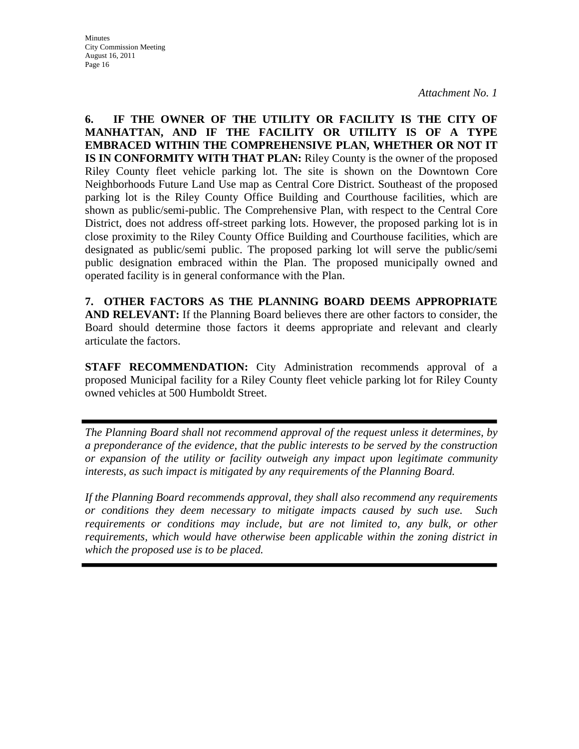**6. IF THE OWNER OF THE UTILITY OR FACILITY IS THE CITY OF MANHATTAN, AND IF THE FACILITY OR UTILITY IS OF A TYPE EMBRACED WITHIN THE COMPREHENSIVE PLAN, WHETHER OR NOT IT IS IN CONFORMITY WITH THAT PLAN:** Riley County is the owner of the proposed Riley County fleet vehicle parking lot. The site is shown on the Downtown Core Neighborhoods Future Land Use map as Central Core District. Southeast of the proposed parking lot is the Riley County Office Building and Courthouse facilities, which are shown as public/semi-public. The Comprehensive Plan, with respect to the Central Core District, does not address off-street parking lots. However, the proposed parking lot is in close proximity to the Riley County Office Building and Courthouse facilities, which are designated as public/semi public. The proposed parking lot will serve the public/semi public designation embraced within the Plan. The proposed municipally owned and operated facility is in general conformance with the Plan.

**7. OTHER FACTORS AS THE PLANNING BOARD DEEMS APPROPRIATE AND RELEVANT:** If the Planning Board believes there are other factors to consider, the Board should determine those factors it deems appropriate and relevant and clearly articulate the factors.

**STAFF RECOMMENDATION:** City Administration recommends approval of a proposed Municipal facility for a Riley County fleet vehicle parking lot for Riley County owned vehicles at 500 Humboldt Street.

*The Planning Board shall not recommend approval of the request unless it determines, by a preponderance of the evidence, that the public interests to be served by the construction or expansion of the utility or facility outweigh any impact upon legitimate community interests, as such impact is mitigated by any requirements of the Planning Board.* 

*If the Planning Board recommends approval, they shall also recommend any requirements or conditions they deem necessary to mitigate impacts caused by such use. Such requirements or conditions may include, but are not limited to, any bulk, or other requirements, which would have otherwise been applicable within the zoning district in which the proposed use is to be placed.*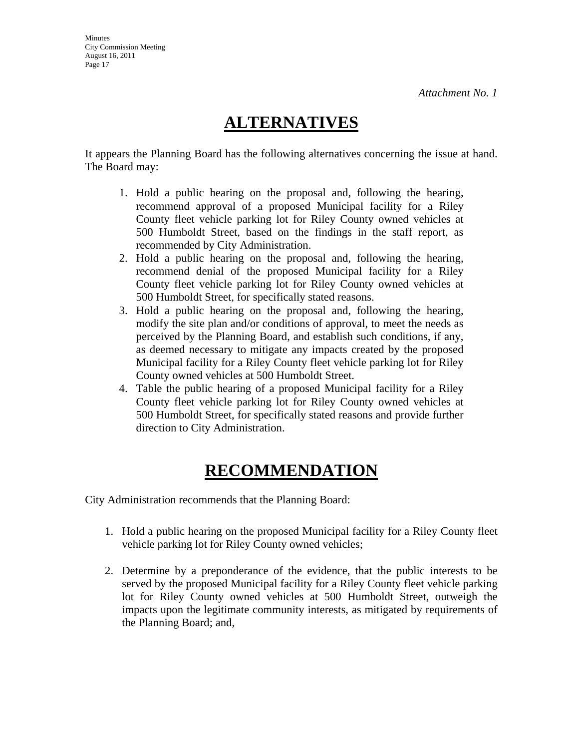# **ALTERNATIVES**

It appears the Planning Board has the following alternatives concerning the issue at hand. The Board may:

- 1. Hold a public hearing on the proposal and, following the hearing, recommend approval of a proposed Municipal facility for a Riley County fleet vehicle parking lot for Riley County owned vehicles at 500 Humboldt Street, based on the findings in the staff report, as recommended by City Administration.
- 2. Hold a public hearing on the proposal and, following the hearing, recommend denial of the proposed Municipal facility for a Riley County fleet vehicle parking lot for Riley County owned vehicles at 500 Humboldt Street, for specifically stated reasons.
- 3. Hold a public hearing on the proposal and, following the hearing, modify the site plan and/or conditions of approval, to meet the needs as perceived by the Planning Board, and establish such conditions, if any, as deemed necessary to mitigate any impacts created by the proposed Municipal facility for a Riley County fleet vehicle parking lot for Riley County owned vehicles at 500 Humboldt Street.
- 4. Table the public hearing of a proposed Municipal facility for a Riley County fleet vehicle parking lot for Riley County owned vehicles at 500 Humboldt Street, for specifically stated reasons and provide further direction to City Administration.

# **RECOMMENDATION**

City Administration recommends that the Planning Board:

- 1. Hold a public hearing on the proposed Municipal facility for a Riley County fleet vehicle parking lot for Riley County owned vehicles;
- 2. Determine by a preponderance of the evidence, that the public interests to be served by the proposed Municipal facility for a Riley County fleet vehicle parking lot for Riley County owned vehicles at 500 Humboldt Street, outweigh the impacts upon the legitimate community interests, as mitigated by requirements of the Planning Board; and,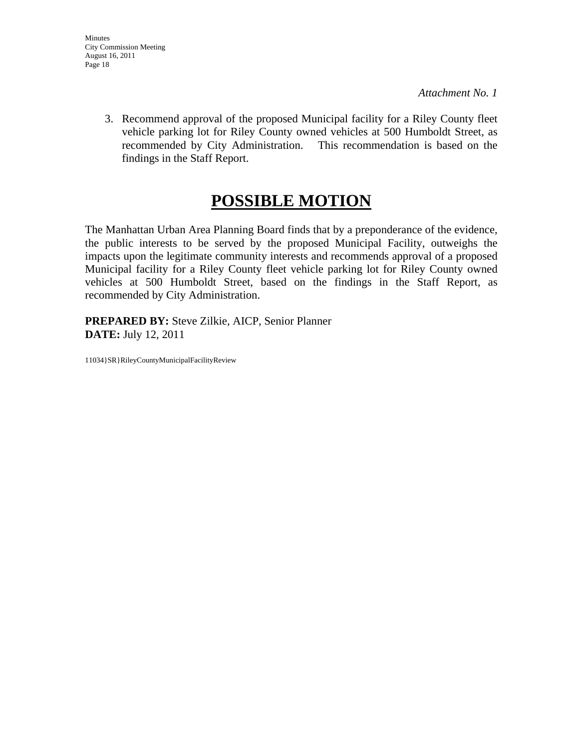3. Recommend approval of the proposed Municipal facility for a Riley County fleet vehicle parking lot for Riley County owned vehicles at 500 Humboldt Street, as recommended by City Administration. This recommendation is based on the findings in the Staff Report.

# **POSSIBLE MOTION**

The Manhattan Urban Area Planning Board finds that by a preponderance of the evidence, the public interests to be served by the proposed Municipal Facility, outweighs the impacts upon the legitimate community interests and recommends approval of a proposed Municipal facility for a Riley County fleet vehicle parking lot for Riley County owned vehicles at 500 Humboldt Street, based on the findings in the Staff Report, as recommended by City Administration.

**PREPARED BY:** Steve Zilkie, AICP, Senior Planner **DATE:** July 12, 2011

11034}SR}RileyCountyMunicipalFacilityReview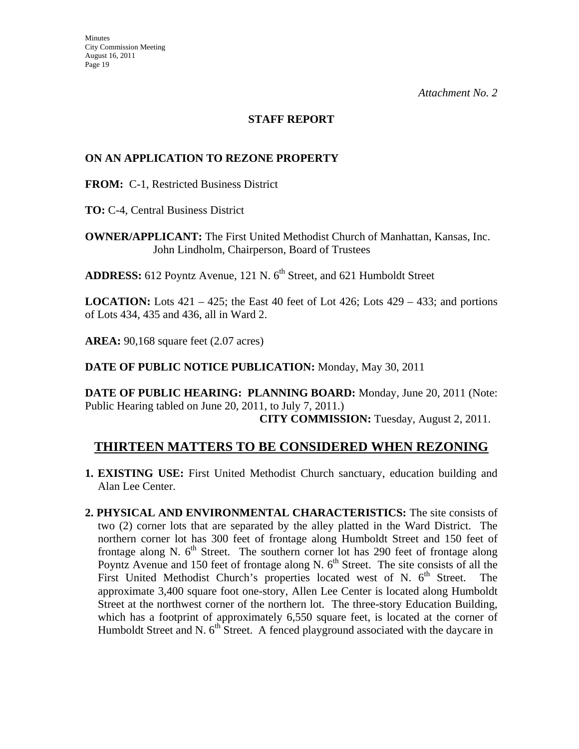## **STAFF REPORT**

## **ON AN APPLICATION TO REZONE PROPERTY**

**FROM:** C-1, Restricted Business District

**TO:** C-4, Central Business District

**OWNER/APPLICANT:** The First United Methodist Church of Manhattan, Kansas, Inc. John Lindholm, Chairperson, Board of Trustees

**ADDRESS:** 612 Poyntz Avenue, 121 N. 6<sup>th</sup> Street, and 621 Humboldt Street

**LOCATION:** Lots 421 – 425; the East 40 feet of Lot 426; Lots 429 – 433; and portions of Lots 434, 435 and 436, all in Ward 2.

**AREA:** 90,168 square feet (2.07 acres)

**DATE OF PUBLIC NOTICE PUBLICATION:** Monday, May 30, 2011

**DATE OF PUBLIC HEARING: PLANNING BOARD:** Monday, June 20, 2011 (Note: Public Hearing tabled on June 20, 2011, to July 7, 2011.)

 **CITY COMMISSION:** Tuesday, August 2, 2011.

# **THIRTEEN MATTERS TO BE CONSIDERED WHEN REZONING**

- **1. EXISTING USE:** First United Methodist Church sanctuary, education building and Alan Lee Center.
- **2. PHYSICAL AND ENVIRONMENTAL CHARACTERISTICS:** The site consists of two (2) corner lots that are separated by the alley platted in the Ward District. The northern corner lot has 300 feet of frontage along Humboldt Street and 150 feet of frontage along N.  $6<sup>th</sup>$  Street. The southern corner lot has 290 feet of frontage along Poyntz Avenue and 150 feet of frontage along N.  $6<sup>th</sup>$  Street. The site consists of all the First United Methodist Church's properties located west of N.  $6<sup>th</sup>$  Street. The approximate 3,400 square foot one-story, Allen Lee Center is located along Humboldt Street at the northwest corner of the northern lot. The three-story Education Building, which has a footprint of approximately 6,550 square feet, is located at the corner of Humboldt Street and N.  $6<sup>th</sup>$  Street. A fenced playground associated with the daycare in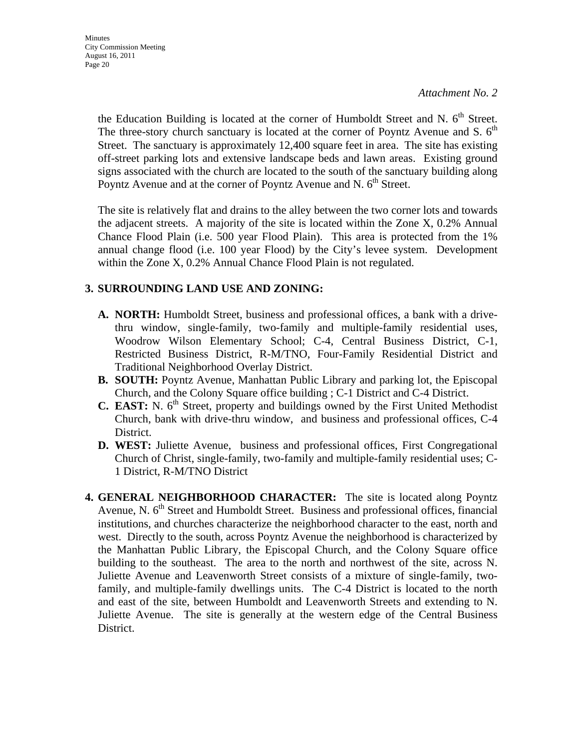the Education Building is located at the corner of Humboldt Street and N.  $6<sup>th</sup>$  Street. The three-story church sanctuary is located at the corner of Poyntz Avenue and S.  $6<sup>th</sup>$ Street. The sanctuary is approximately 12,400 square feet in area. The site has existing off-street parking lots and extensive landscape beds and lawn areas. Existing ground signs associated with the church are located to the south of the sanctuary building along Poyntz Avenue and at the corner of Poyntz Avenue and N. 6<sup>th</sup> Street.

 The site is relatively flat and drains to the alley between the two corner lots and towards the adjacent streets. A majority of the site is located within the Zone X, 0.2% Annual Chance Flood Plain (i.e. 500 year Flood Plain). This area is protected from the 1% annual change flood (i.e. 100 year Flood) by the City's levee system. Development within the Zone X, 0.2% Annual Chance Flood Plain is not regulated.

## **3. SURROUNDING LAND USE AND ZONING:**

- **A. NORTH:** Humboldt Street, business and professional offices, a bank with a drivethru window, single-family, two-family and multiple-family residential uses, Woodrow Wilson Elementary School; C-4, Central Business District, C-1, Restricted Business District, R-M/TNO, Four-Family Residential District and Traditional Neighborhood Overlay District.
- **B. SOUTH:** Poyntz Avenue, Manhattan Public Library and parking lot, the Episcopal Church, and the Colony Square office building ; C-1 District and C-4 District.
- **C. EAST:** N.  $6<sup>th</sup>$  Street, property and buildings owned by the First United Methodist Church, bank with drive-thru window, and business and professional offices, C-4 District.
- **D. WEST:** Juliette Avenue, business and professional offices, First Congregational Church of Christ, single-family, two-family and multiple-family residential uses; C-1 District, R-M/TNO District
- **4. GENERAL NEIGHBORHOOD CHARACTER:** The site is located along Poyntz Avenue, N. 6<sup>th</sup> Street and Humboldt Street. Business and professional offices, financial institutions, and churches characterize the neighborhood character to the east, north and west. Directly to the south, across Poyntz Avenue the neighborhood is characterized by the Manhattan Public Library, the Episcopal Church, and the Colony Square office building to the southeast. The area to the north and northwest of the site, across N. Juliette Avenue and Leavenworth Street consists of a mixture of single-family, twofamily, and multiple-family dwellings units. The C-4 District is located to the north and east of the site, between Humboldt and Leavenworth Streets and extending to N. Juliette Avenue. The site is generally at the western edge of the Central Business District.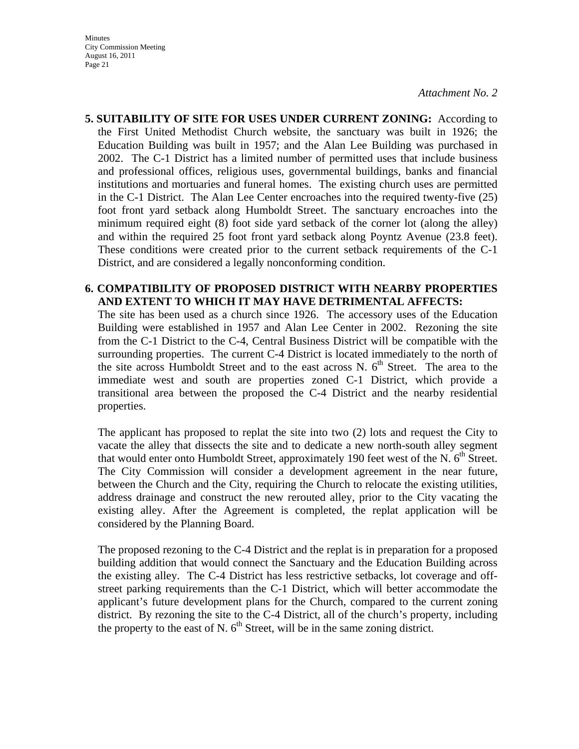Minutes City Commission Meeting August 16, 2011 Page 21

*Attachment No. 2*

**5. SUITABILITY OF SITE FOR USES UNDER CURRENT ZONING:** According to the First United Methodist Church website, the sanctuary was built in 1926; the Education Building was built in 1957; and the Alan Lee Building was purchased in 2002. The C-1 District has a limited number of permitted uses that include business and professional offices, religious uses, governmental buildings, banks and financial institutions and mortuaries and funeral homes. The existing church uses are permitted in the C-1 District. The Alan Lee Center encroaches into the required twenty-five (25) foot front yard setback along Humboldt Street. The sanctuary encroaches into the minimum required eight (8) foot side yard setback of the corner lot (along the alley) and within the required 25 foot front yard setback along Poyntz Avenue (23.8 feet). These conditions were created prior to the current setback requirements of the C-1 District, and are considered a legally nonconforming condition.

### **6. COMPATIBILITY OF PROPOSED DISTRICT WITH NEARBY PROPERTIES AND EXTENT TO WHICH IT MAY HAVE DETRIMENTAL AFFECTS:**

The site has been used as a church since 1926. The accessory uses of the Education Building were established in 1957 and Alan Lee Center in 2002. Rezoning the site from the C-1 District to the C-4, Central Business District will be compatible with the surrounding properties. The current C-4 District is located immediately to the north of the site across Humboldt Street and to the east across N.  $6<sup>th</sup>$  Street. The area to the immediate west and south are properties zoned C-1 District, which provide a transitional area between the proposed the C-4 District and the nearby residential properties.

The applicant has proposed to replat the site into two (2) lots and request the City to vacate the alley that dissects the site and to dedicate a new north-south alley segment that would enter onto Humboldt Street, approximately 190 feet west of the N.  $6<sup>th</sup>$  Street. The City Commission will consider a development agreement in the near future, between the Church and the City, requiring the Church to relocate the existing utilities, address drainage and construct the new rerouted alley, prior to the City vacating the existing alley. After the Agreement is completed, the replat application will be considered by the Planning Board.

The proposed rezoning to the C-4 District and the replat is in preparation for a proposed building addition that would connect the Sanctuary and the Education Building across the existing alley. The C-4 District has less restrictive setbacks, lot coverage and offstreet parking requirements than the C-1 District, which will better accommodate the applicant's future development plans for the Church, compared to the current zoning district. By rezoning the site to the C-4 District, all of the church's property, including the property to the east of N.  $6<sup>th</sup>$  Street, will be in the same zoning district.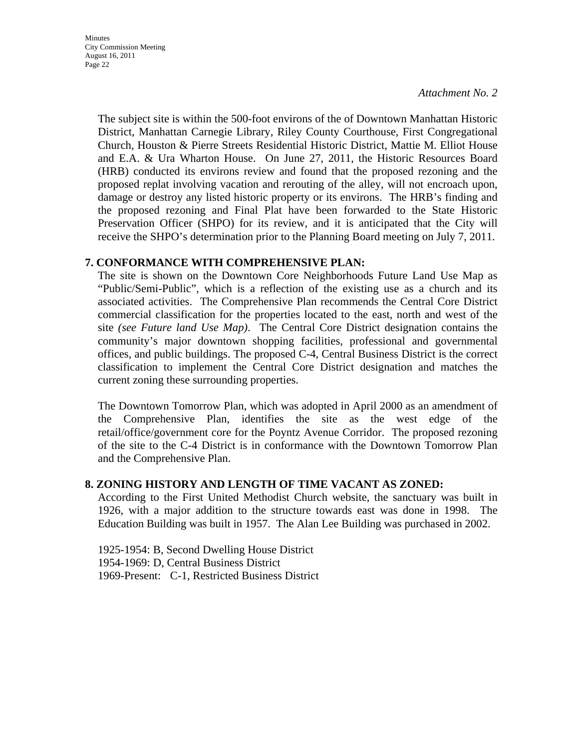**Minutes** City Commission Meeting August 16, 2011 Page 22

*Attachment No. 2*

The subject site is within the 500-foot environs of the of Downtown Manhattan Historic District, Manhattan Carnegie Library, Riley County Courthouse, First Congregational Church, Houston & Pierre Streets Residential Historic District, Mattie M. Elliot House and E.A. & Ura Wharton House. On June 27, 2011, the Historic Resources Board (HRB) conducted its environs review and found that the proposed rezoning and the proposed replat involving vacation and rerouting of the alley, will not encroach upon, damage or destroy any listed historic property or its environs. The HRB's finding and the proposed rezoning and Final Plat have been forwarded to the State Historic Preservation Officer (SHPO) for its review, and it is anticipated that the City will receive the SHPO's determination prior to the Planning Board meeting on July 7, 2011.

### **7. CONFORMANCE WITH COMPREHENSIVE PLAN:**

The site is shown on the Downtown Core Neighborhoods Future Land Use Map as "Public/Semi-Public", which is a reflection of the existing use as a church and its associated activities. The Comprehensive Plan recommends the Central Core District commercial classification for the properties located to the east, north and west of the site *(see Future land Use Map)*. The Central Core District designation contains the community's major downtown shopping facilities, professional and governmental offices, and public buildings. The proposed C-4, Central Business District is the correct classification to implement the Central Core District designation and matches the current zoning these surrounding properties.

The Downtown Tomorrow Plan, which was adopted in April 2000 as an amendment of the Comprehensive Plan, identifies the site as the west edge of the retail/office/government core for the Poyntz Avenue Corridor. The proposed rezoning of the site to the C-4 District is in conformance with the Downtown Tomorrow Plan and the Comprehensive Plan.

### **8. ZONING HISTORY AND LENGTH OF TIME VACANT AS ZONED:**

According to the First United Methodist Church website, the sanctuary was built in 1926, with a major addition to the structure towards east was done in 1998. The Education Building was built in 1957. The Alan Lee Building was purchased in 2002.

1925-1954: B, Second Dwelling House District 1954-1969: D, Central Business District 1969-Present: C-1, Restricted Business District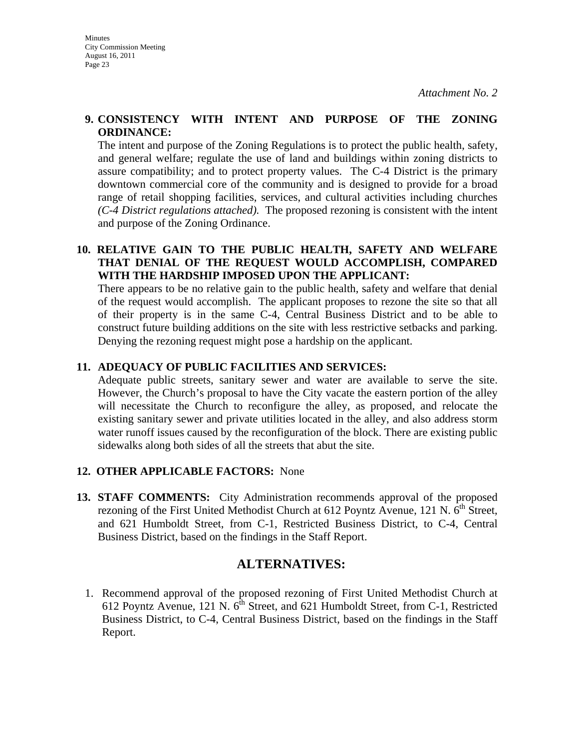### **9. CONSISTENCY WITH INTENT AND PURPOSE OF THE ZONING ORDINANCE:**

The intent and purpose of the Zoning Regulations is to protect the public health, safety, and general welfare; regulate the use of land and buildings within zoning districts to assure compatibility; and to protect property values. The C-4 District is the primary downtown commercial core of the community and is designed to provide for a broad range of retail shopping facilities, services, and cultural activities including churches *(C-4 District regulations attached).* The proposed rezoning is consistent with the intent and purpose of the Zoning Ordinance.

## **10. RELATIVE GAIN TO THE PUBLIC HEALTH, SAFETY AND WELFARE THAT DENIAL OF THE REQUEST WOULD ACCOMPLISH, COMPARED WITH THE HARDSHIP IMPOSED UPON THE APPLICANT:**

There appears to be no relative gain to the public health, safety and welfare that denial of the request would accomplish. The applicant proposes to rezone the site so that all of their property is in the same C-4, Central Business District and to be able to construct future building additions on the site with less restrictive setbacks and parking. Denying the rezoning request might pose a hardship on the applicant.

## **11. ADEQUACY OF PUBLIC FACILITIES AND SERVICES:**

Adequate public streets, sanitary sewer and water are available to serve the site. However, the Church's proposal to have the City vacate the eastern portion of the alley will necessitate the Church to reconfigure the alley, as proposed, and relocate the existing sanitary sewer and private utilities located in the alley, and also address storm water runoff issues caused by the reconfiguration of the block. There are existing public sidewalks along both sides of all the streets that abut the site.

### **12. OTHER APPLICABLE FACTORS:** None

**13. STAFF COMMENTS:** City Administration recommends approval of the proposed rezoning of the First United Methodist Church at  $612$  Poyntz Avenue, 121 N.  $6<sup>th</sup>$  Street, and 621 Humboldt Street, from C-1, Restricted Business District, to C-4, Central Business District, based on the findings in the Staff Report.

# **ALTERNATIVES:**

1. Recommend approval of the proposed rezoning of First United Methodist Church at 612 Poyntz Avenue, 121 N.  $6<sup>th</sup>$  Street, and 621 Humboldt Street, from C-1, Restricted Business District, to C-4, Central Business District, based on the findings in the Staff Report.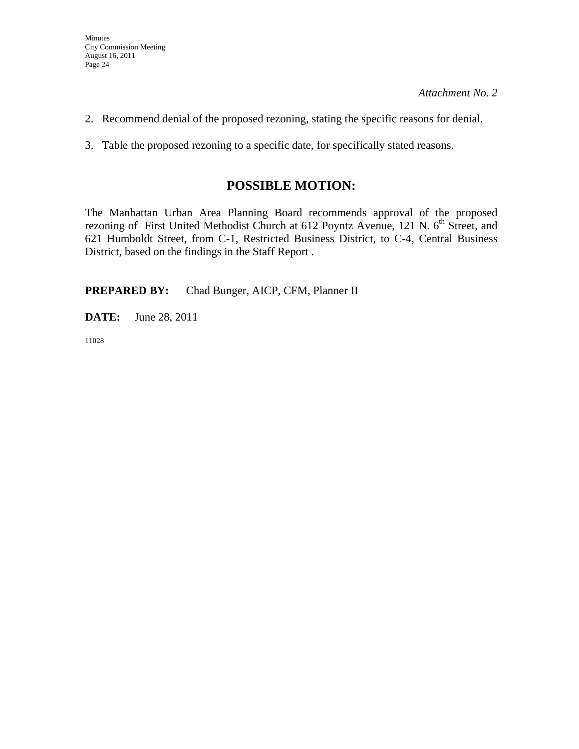- 2. Recommend denial of the proposed rezoning, stating the specific reasons for denial.
- 3. Table the proposed rezoning to a specific date, for specifically stated reasons.

# **POSSIBLE MOTION:**

The Manhattan Urban Area Planning Board recommends approval of the proposed rezoning of First United Methodist Church at 612 Poyntz Avenue, 121 N. 6<sup>th</sup> Street, and 621 Humboldt Street, from C-1, Restricted Business District, to C-4, Central Business District, based on the findings in the Staff Report .

**PREPARED BY:** Chad Bunger, AICP, CFM, Planner II

**DATE:** June 28, 2011

11028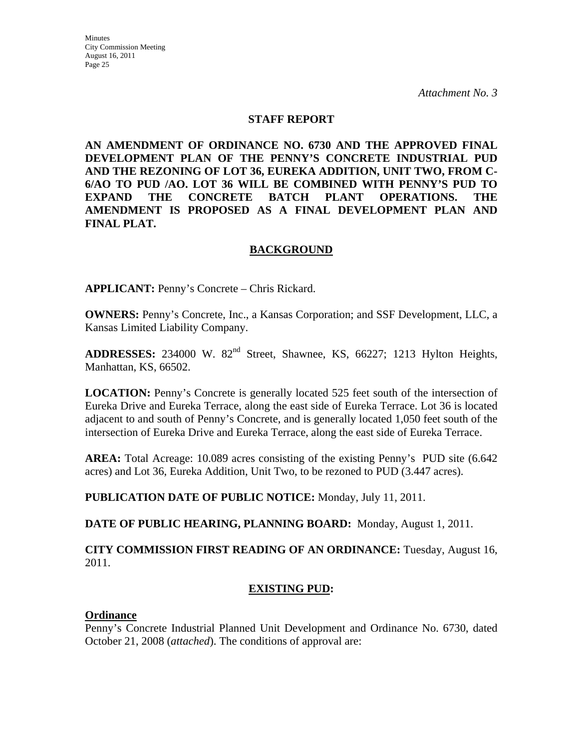#### **STAFF REPORT**

**AN AMENDMENT OF ORDINANCE NO. 6730 AND THE APPROVED FINAL DEVELOPMENT PLAN OF THE PENNY'S CONCRETE INDUSTRIAL PUD AND THE REZONING OF LOT 36, EUREKA ADDITION, UNIT TWO, FROM C-6/AO TO PUD /AO. LOT 36 WILL BE COMBINED WITH PENNY'S PUD TO EXPAND THE CONCRETE BATCH PLANT OPERATIONS. THE AMENDMENT IS PROPOSED AS A FINAL DEVELOPMENT PLAN AND FINAL PLAT.** 

### **BACKGROUND**

**APPLICANT:** Penny's Concrete – Chris Rickard.

**OWNERS:** Penny's Concrete, Inc., a Kansas Corporation; and SSF Development, LLC, a Kansas Limited Liability Company.

ADDRESSES: 234000 W. 82<sup>nd</sup> Street, Shawnee, KS, 66227; 1213 Hylton Heights, Manhattan, KS, 66502.

**LOCATION:** Penny's Concrete is generally located 525 feet south of the intersection of Eureka Drive and Eureka Terrace, along the east side of Eureka Terrace. Lot 36 is located adjacent to and south of Penny's Concrete, and is generally located 1,050 feet south of the intersection of Eureka Drive and Eureka Terrace, along the east side of Eureka Terrace.

**AREA:** Total Acreage: 10.089 acres consisting of the existing Penny's PUD site (6.642 acres) and Lot 36, Eureka Addition, Unit Two, to be rezoned to PUD (3.447 acres).

**PUBLICATION DATE OF PUBLIC NOTICE:** Monday, July 11, 2011.

**DATE OF PUBLIC HEARING, PLANNING BOARD:** Monday, August 1, 2011.

**CITY COMMISSION FIRST READING OF AN ORDINANCE:** Tuesday, August 16, 2011.

### **EXISTING PUD:**

#### **Ordinance**

Penny's Concrete Industrial Planned Unit Development and Ordinance No. 6730, dated October 21, 2008 (*attached*). The conditions of approval are: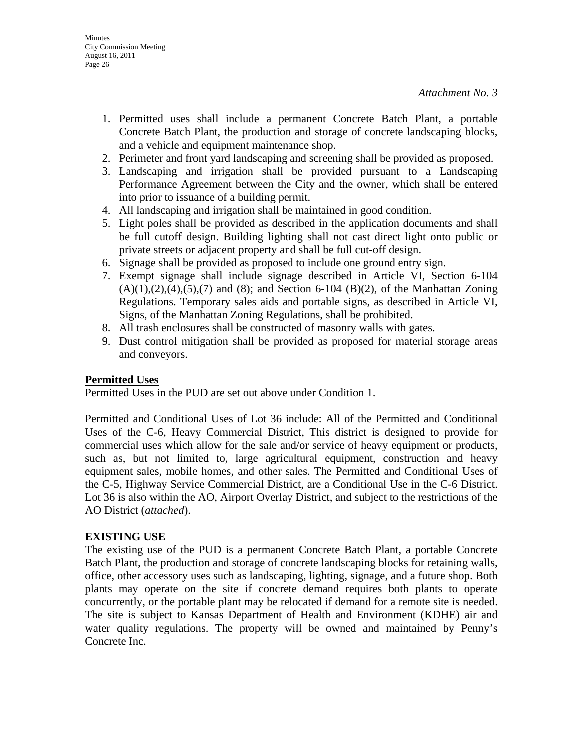- 1. Permitted uses shall include a permanent Concrete Batch Plant, a portable Concrete Batch Plant, the production and storage of concrete landscaping blocks, and a vehicle and equipment maintenance shop.
- 2. Perimeter and front yard landscaping and screening shall be provided as proposed.
- 3. Landscaping and irrigation shall be provided pursuant to a Landscaping Performance Agreement between the City and the owner, which shall be entered into prior to issuance of a building permit.
- 4. All landscaping and irrigation shall be maintained in good condition.
- 5. Light poles shall be provided as described in the application documents and shall be full cutoff design. Building lighting shall not cast direct light onto public or private streets or adjacent property and shall be full cut-off design.
- 6. Signage shall be provided as proposed to include one ground entry sign.
- 7. Exempt signage shall include signage described in Article VI, Section 6-104  $(A)(1),(2),(4),(5),(7)$  and  $(8)$ ; and Section 6-104  $(B)(2)$ , of the Manhattan Zoning Regulations. Temporary sales aids and portable signs, as described in Article VI, Signs, of the Manhattan Zoning Regulations, shall be prohibited.
- 8. All trash enclosures shall be constructed of masonry walls with gates.
- 9. Dust control mitigation shall be provided as proposed for material storage areas and conveyors.

## **Permitted Uses**

Permitted Uses in the PUD are set out above under Condition 1.

Permitted and Conditional Uses of Lot 36 include: All of the Permitted and Conditional Uses of the C-6, Heavy Commercial District, This district is designed to provide for commercial uses which allow for the sale and/or service of heavy equipment or products, such as, but not limited to, large agricultural equipment, construction and heavy equipment sales, mobile homes, and other sales. The Permitted and Conditional Uses of the C-5, Highway Service Commercial District, are a Conditional Use in the C-6 District. Lot 36 is also within the AO, Airport Overlay District, and subject to the restrictions of the AO District (*attached*).

### **EXISTING USE**

The existing use of the PUD is a permanent Concrete Batch Plant, a portable Concrete Batch Plant, the production and storage of concrete landscaping blocks for retaining walls, office, other accessory uses such as landscaping, lighting, signage, and a future shop. Both plants may operate on the site if concrete demand requires both plants to operate concurrently, or the portable plant may be relocated if demand for a remote site is needed. The site is subject to Kansas Department of Health and Environment (KDHE) air and water quality regulations. The property will be owned and maintained by Penny's Concrete Inc.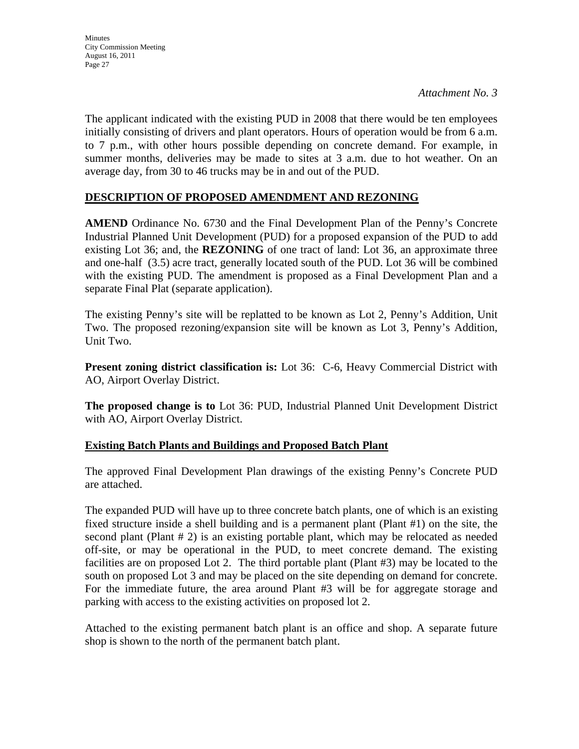The applicant indicated with the existing PUD in 2008 that there would be ten employees initially consisting of drivers and plant operators. Hours of operation would be from 6 a.m. to 7 p.m., with other hours possible depending on concrete demand. For example, in summer months, deliveries may be made to sites at 3 a.m. due to hot weather. On an average day, from 30 to 46 trucks may be in and out of the PUD.

## **DESCRIPTION OF PROPOSED AMENDMENT AND REZONING**

**AMEND** Ordinance No. 6730 and the Final Development Plan of the Penny's Concrete Industrial Planned Unit Development (PUD) for a proposed expansion of the PUD to add existing Lot 36; and, the **REZONING** of one tract of land: Lot 36, an approximate three and one-half (3.5) acre tract, generally located south of the PUD. Lot 36 will be combined with the existing PUD. The amendment is proposed as a Final Development Plan and a separate Final Plat (separate application).

The existing Penny's site will be replatted to be known as Lot 2, Penny's Addition, Unit Two. The proposed rezoning/expansion site will be known as Lot 3, Penny's Addition, Unit Two.

**Present zoning district classification is:** Lot 36:C-6, Heavy Commercial District with AO, Airport Overlay District.

**The proposed change is to** Lot 36: PUD, Industrial Planned Unit Development District with AO, Airport Overlay District.

## **Existing Batch Plants and Buildings and Proposed Batch Plant**

The approved Final Development Plan drawings of the existing Penny's Concrete PUD are attached.

The expanded PUD will have up to three concrete batch plants, one of which is an existing fixed structure inside a shell building and is a permanent plant (Plant #1) on the site, the second plant (Plant # 2) is an existing portable plant, which may be relocated as needed off-site, or may be operational in the PUD, to meet concrete demand. The existing facilities are on proposed Lot 2. The third portable plant (Plant #3) may be located to the south on proposed Lot 3 and may be placed on the site depending on demand for concrete. For the immediate future, the area around Plant #3 will be for aggregate storage and parking with access to the existing activities on proposed lot 2.

Attached to the existing permanent batch plant is an office and shop. A separate future shop is shown to the north of the permanent batch plant.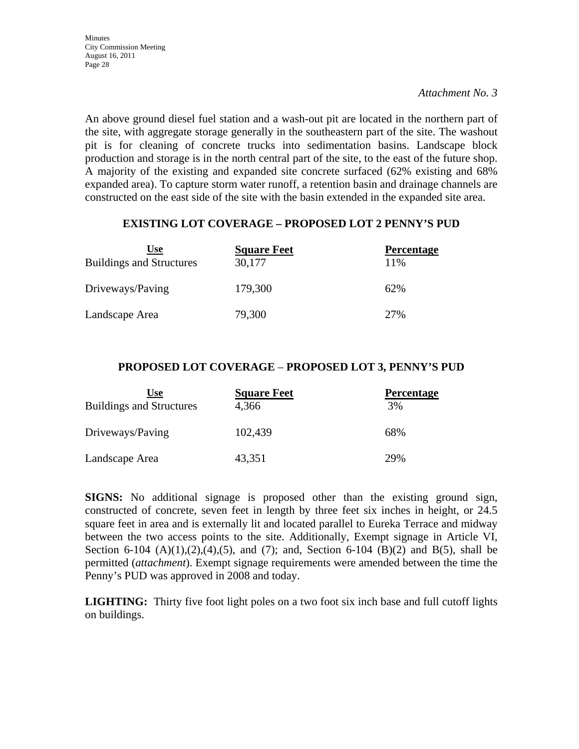An above ground diesel fuel station and a wash-out pit are located in the northern part of the site, with aggregate storage generally in the southeastern part of the site. The washout pit is for cleaning of concrete trucks into sedimentation basins. Landscape block production and storage is in the north central part of the site, to the east of the future shop. A majority of the existing and expanded site concrete surfaced (62% existing and 68% expanded area). To capture storm water runoff, a retention basin and drainage channels are constructed on the east side of the site with the basin extended in the expanded site area.

### **EXISTING LOT COVERAGE – PROPOSED LOT 2 PENNY'S PUD**

| Use<br><b>Buildings and Structures</b> | <b>Square Feet</b><br>30,177 | <b>Percentage</b><br>11% |
|----------------------------------------|------------------------------|--------------------------|
| Driveways/Paving                       | 179,300                      | 62%                      |
| Landscape Area                         | 79,300                       | 27%                      |

### **PROPOSED LOT COVERAGE** – **PROPOSED LOT 3, PENNY'S PUD**

| Use                             | <b>Square Feet</b> | <b>Percentage</b> |
|---------------------------------|--------------------|-------------------|
| <b>Buildings and Structures</b> | 4,366              | 3%                |
| Driveways/Paving                | 102,439            | 68%               |
| Landscape Area                  | 43,351             | 29%               |

**SIGNS:** No additional signage is proposed other than the existing ground sign, constructed of concrete, seven feet in length by three feet six inches in height, or 24.5 square feet in area and is externally lit and located parallel to Eureka Terrace and midway between the two access points to the site. Additionally, Exempt signage in Article VI, Section 6-104  $(A)(1),(2),(4),(5)$ , and  $(7)$ ; and, Section 6-104  $(B)(2)$  and  $B(5)$ , shall be permitted (*attachment*). Exempt signage requirements were amended between the time the Penny's PUD was approved in 2008 and today.

**LIGHTING:** Thirty five foot light poles on a two foot six inch base and full cutoff lights on buildings.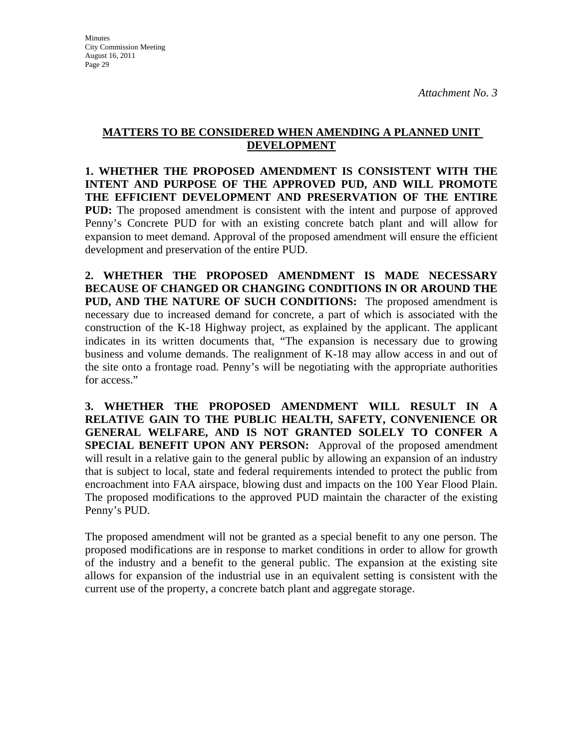## **MATTERS TO BE CONSIDERED WHEN AMENDING A PLANNED UNIT DEVELOPMENT**

**1. WHETHER THE PROPOSED AMENDMENT IS CONSISTENT WITH THE INTENT AND PURPOSE OF THE APPROVED PUD, AND WILL PROMOTE THE EFFICIENT DEVELOPMENT AND PRESERVATION OF THE ENTIRE PUD:** The proposed amendment is consistent with the intent and purpose of approved Penny's Concrete PUD for with an existing concrete batch plant and will allow for expansion to meet demand. Approval of the proposed amendment will ensure the efficient development and preservation of the entire PUD.

**2. WHETHER THE PROPOSED AMENDMENT IS MADE NECESSARY BECAUSE OF CHANGED OR CHANGING CONDITIONS IN OR AROUND THE PUD, AND THE NATURE OF SUCH CONDITIONS:** The proposed amendment is necessary due to increased demand for concrete, a part of which is associated with the construction of the K-18 Highway project, as explained by the applicant. The applicant indicates in its written documents that, "The expansion is necessary due to growing business and volume demands. The realignment of K-18 may allow access in and out of the site onto a frontage road. Penny's will be negotiating with the appropriate authorities for access."

**3. WHETHER THE PROPOSED AMENDMENT WILL RESULT IN A RELATIVE GAIN TO THE PUBLIC HEALTH, SAFETY, CONVENIENCE OR GENERAL WELFARE, AND IS NOT GRANTED SOLELY TO CONFER A SPECIAL BENEFIT UPON ANY PERSON:** Approval of the proposed amendment will result in a relative gain to the general public by allowing an expansion of an industry that is subject to local, state and federal requirements intended to protect the public from encroachment into FAA airspace, blowing dust and impacts on the 100 Year Flood Plain. The proposed modifications to the approved PUD maintain the character of the existing Penny's PUD.

The proposed amendment will not be granted as a special benefit to any one person. The proposed modifications are in response to market conditions in order to allow for growth of the industry and a benefit to the general public. The expansion at the existing site allows for expansion of the industrial use in an equivalent setting is consistent with the current use of the property, a concrete batch plant and aggregate storage.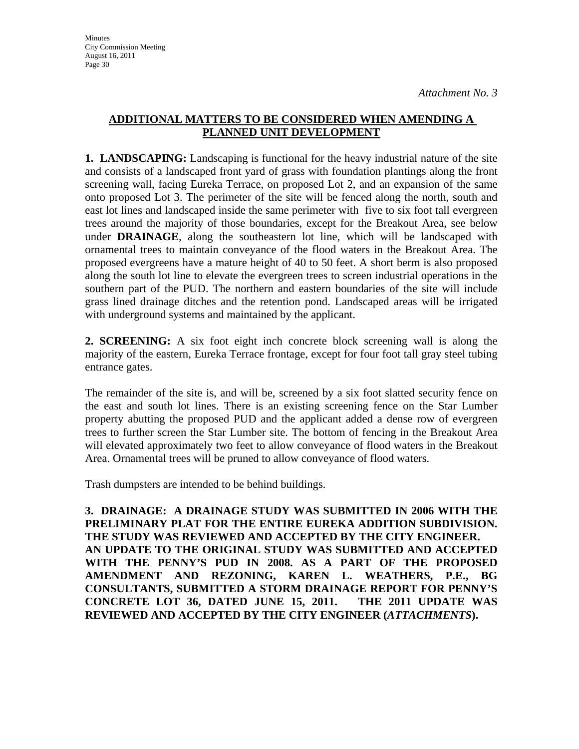## **ADDITIONAL MATTERS TO BE CONSIDERED WHEN AMENDING A PLANNED UNIT DEVELOPMENT**

**1. LANDSCAPING:** Landscaping is functional for the heavy industrial nature of the site and consists of a landscaped front yard of grass with foundation plantings along the front screening wall, facing Eureka Terrace, on proposed Lot 2, and an expansion of the same onto proposed Lot 3. The perimeter of the site will be fenced along the north, south and east lot lines and landscaped inside the same perimeter with five to six foot tall evergreen trees around the majority of those boundaries, except for the Breakout Area, see below under **DRAINAGE**, along the southeastern lot line, which will be landscaped with ornamental trees to maintain conveyance of the flood waters in the Breakout Area. The proposed evergreens have a mature height of 40 to 50 feet. A short berm is also proposed along the south lot line to elevate the evergreen trees to screen industrial operations in the southern part of the PUD. The northern and eastern boundaries of the site will include grass lined drainage ditches and the retention pond. Landscaped areas will be irrigated with underground systems and maintained by the applicant.

**2. SCREENING:** A six foot eight inch concrete block screening wall is along the majority of the eastern, Eureka Terrace frontage, except for four foot tall gray steel tubing entrance gates.

The remainder of the site is, and will be, screened by a six foot slatted security fence on the east and south lot lines. There is an existing screening fence on the Star Lumber property abutting the proposed PUD and the applicant added a dense row of evergreen trees to further screen the Star Lumber site. The bottom of fencing in the Breakout Area will elevated approximately two feet to allow conveyance of flood waters in the Breakout Area. Ornamental trees will be pruned to allow conveyance of flood waters.

Trash dumpsters are intended to be behind buildings.

**3. DRAINAGE: A DRAINAGE STUDY WAS SUBMITTED IN 2006 WITH THE PRELIMINARY PLAT FOR THE ENTIRE EUREKA ADDITION SUBDIVISION. THE STUDY WAS REVIEWED AND ACCEPTED BY THE CITY ENGINEER. AN UPDATE TO THE ORIGINAL STUDY WAS SUBMITTED AND ACCEPTED WITH THE PENNY'S PUD IN 2008. AS A PART OF THE PROPOSED AMENDMENT AND REZONING, KAREN L. WEATHERS, P.E., BG CONSULTANTS, SUBMITTED A STORM DRAINAGE REPORT FOR PENNY'S CONCRETE LOT 36, DATED JUNE 15, 2011. THE 2011 UPDATE WAS REVIEWED AND ACCEPTED BY THE CITY ENGINEER (***ATTACHMENTS***).**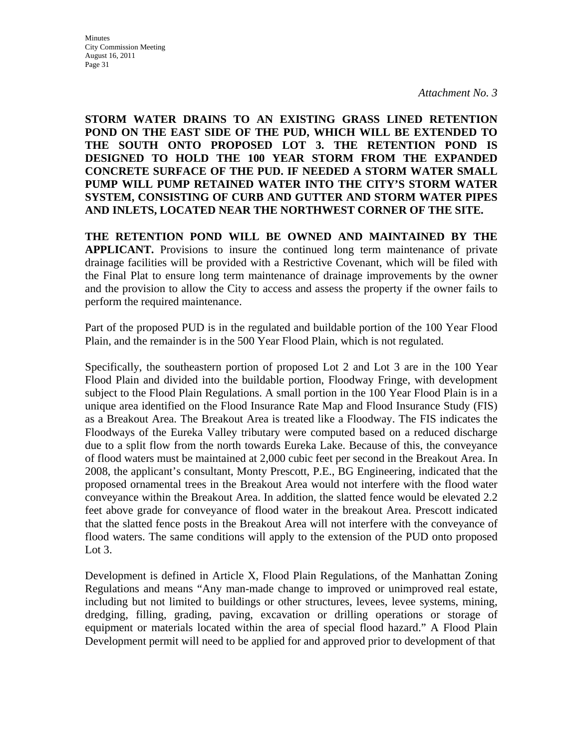**STORM WATER DRAINS TO AN EXISTING GRASS LINED RETENTION POND ON THE EAST SIDE OF THE PUD, WHICH WILL BE EXTENDED TO THE SOUTH ONTO PROPOSED LOT 3. THE RETENTION POND IS DESIGNED TO HOLD THE 100 YEAR STORM FROM THE EXPANDED CONCRETE SURFACE OF THE PUD. IF NEEDED A STORM WATER SMALL PUMP WILL PUMP RETAINED WATER INTO THE CITY'S STORM WATER SYSTEM, CONSISTING OF CURB AND GUTTER AND STORM WATER PIPES AND INLETS, LOCATED NEAR THE NORTHWEST CORNER OF THE SITE.**

**THE RETENTION POND WILL BE OWNED AND MAINTAINED BY THE APPLICANT.** Provisions to insure the continued long term maintenance of private drainage facilities will be provided with a Restrictive Covenant, which will be filed with the Final Plat to ensure long term maintenance of drainage improvements by the owner and the provision to allow the City to access and assess the property if the owner fails to perform the required maintenance.

Part of the proposed PUD is in the regulated and buildable portion of the 100 Year Flood Plain, and the remainder is in the 500 Year Flood Plain, which is not regulated.

Specifically, the southeastern portion of proposed Lot 2 and Lot 3 are in the 100 Year Flood Plain and divided into the buildable portion, Floodway Fringe, with development subject to the Flood Plain Regulations. A small portion in the 100 Year Flood Plain is in a unique area identified on the Flood Insurance Rate Map and Flood Insurance Study (FIS) as a Breakout Area. The Breakout Area is treated like a Floodway. The FIS indicates the Floodways of the Eureka Valley tributary were computed based on a reduced discharge due to a split flow from the north towards Eureka Lake. Because of this, the conveyance of flood waters must be maintained at 2,000 cubic feet per second in the Breakout Area. In 2008, the applicant's consultant, Monty Prescott, P.E., BG Engineering, indicated that the proposed ornamental trees in the Breakout Area would not interfere with the flood water conveyance within the Breakout Area. In addition, the slatted fence would be elevated 2.2 feet above grade for conveyance of flood water in the breakout Area. Prescott indicated that the slatted fence posts in the Breakout Area will not interfere with the conveyance of flood waters. The same conditions will apply to the extension of the PUD onto proposed Lot  $3$ .

Development is defined in Article X, Flood Plain Regulations, of the Manhattan Zoning Regulations and means "Any man-made change to improved or unimproved real estate, including but not limited to buildings or other structures, levees, levee systems, mining, dredging, filling, grading, paving, excavation or drilling operations or storage of equipment or materials located within the area of special flood hazard." A Flood Plain Development permit will need to be applied for and approved prior to development of that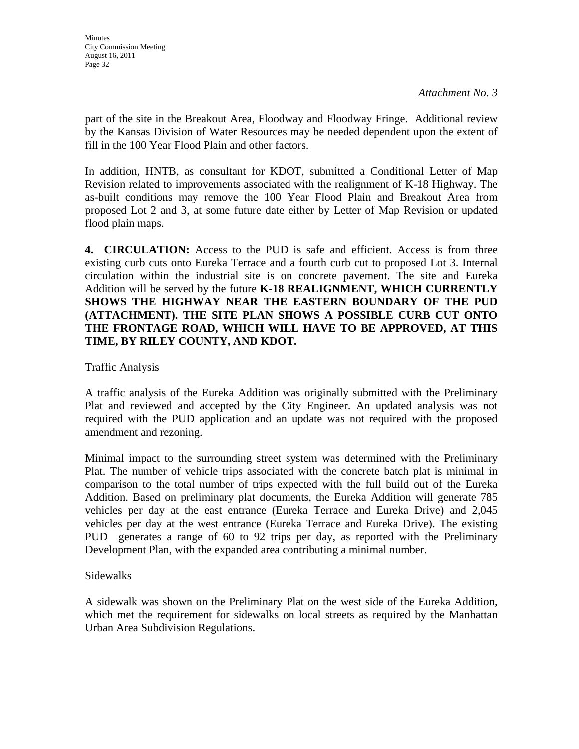part of the site in the Breakout Area, Floodway and Floodway Fringe. Additional review by the Kansas Division of Water Resources may be needed dependent upon the extent of fill in the 100 Year Flood Plain and other factors.

In addition, HNTB, as consultant for KDOT, submitted a Conditional Letter of Map Revision related to improvements associated with the realignment of K-18 Highway. The as-built conditions may remove the 100 Year Flood Plain and Breakout Area from proposed Lot 2 and 3, at some future date either by Letter of Map Revision or updated flood plain maps.

**4. CIRCULATION:** Access to the PUD is safe and efficient. Access is from three existing curb cuts onto Eureka Terrace and a fourth curb cut to proposed Lot 3. Internal circulation within the industrial site is on concrete pavement. The site and Eureka Addition will be served by the future **K-18 REALIGNMENT, WHICH CURRENTLY SHOWS THE HIGHWAY NEAR THE EASTERN BOUNDARY OF THE PUD (ATTACHMENT). THE SITE PLAN SHOWS A POSSIBLE CURB CUT ONTO THE FRONTAGE ROAD, WHICH WILL HAVE TO BE APPROVED, AT THIS TIME, BY RILEY COUNTY, AND KDOT.**

Traffic Analysis

A traffic analysis of the Eureka Addition was originally submitted with the Preliminary Plat and reviewed and accepted by the City Engineer. An updated analysis was not required with the PUD application and an update was not required with the proposed amendment and rezoning.

Minimal impact to the surrounding street system was determined with the Preliminary Plat. The number of vehicle trips associated with the concrete batch plat is minimal in comparison to the total number of trips expected with the full build out of the Eureka Addition. Based on preliminary plat documents, the Eureka Addition will generate 785 vehicles per day at the east entrance (Eureka Terrace and Eureka Drive) and 2,045 vehicles per day at the west entrance (Eureka Terrace and Eureka Drive). The existing PUD generates a range of 60 to 92 trips per day, as reported with the Preliminary Development Plan, with the expanded area contributing a minimal number.

### Sidewalks

A sidewalk was shown on the Preliminary Plat on the west side of the Eureka Addition, which met the requirement for sidewalks on local streets as required by the Manhattan Urban Area Subdivision Regulations.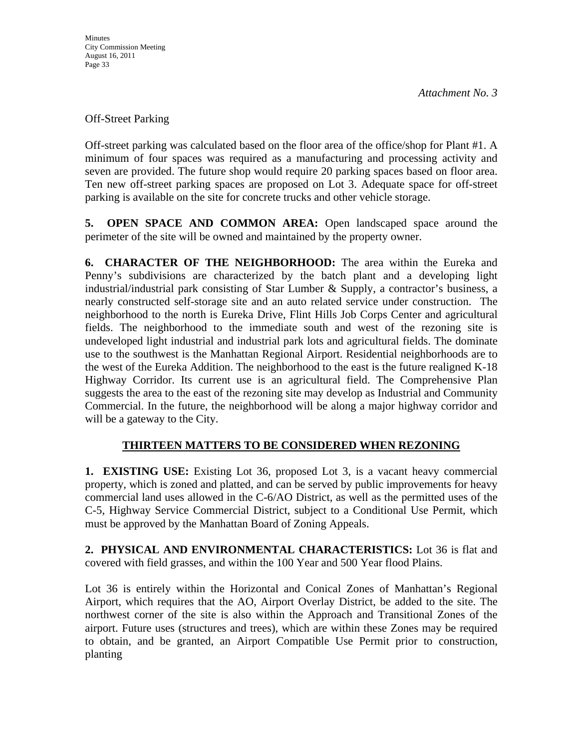Off-Street Parking

Off-street parking was calculated based on the floor area of the office/shop for Plant #1. A minimum of four spaces was required as a manufacturing and processing activity and seven are provided. The future shop would require 20 parking spaces based on floor area. Ten new off-street parking spaces are proposed on Lot 3. Adequate space for off-street parking is available on the site for concrete trucks and other vehicle storage.

**5. OPEN SPACE AND COMMON AREA:** Open landscaped space around the perimeter of the site will be owned and maintained by the property owner.

**6. CHARACTER OF THE NEIGHBORHOOD:** The area within the Eureka and Penny's subdivisions are characterized by the batch plant and a developing light industrial/industrial park consisting of Star Lumber & Supply, a contractor's business, a nearly constructed self-storage site and an auto related service under construction. The neighborhood to the north is Eureka Drive, Flint Hills Job Corps Center and agricultural fields. The neighborhood to the immediate south and west of the rezoning site is undeveloped light industrial and industrial park lots and agricultural fields. The dominate use to the southwest is the Manhattan Regional Airport. Residential neighborhoods are to the west of the Eureka Addition. The neighborhood to the east is the future realigned K-18 Highway Corridor. Its current use is an agricultural field. The Comprehensive Plan suggests the area to the east of the rezoning site may develop as Industrial and Community Commercial. In the future, the neighborhood will be along a major highway corridor and will be a gateway to the City.

## **THIRTEEN MATTERS TO BE CONSIDERED WHEN REZONING**

**1. EXISTING USE:** Existing Lot 36, proposed Lot 3, is a vacant heavy commercial property, which is zoned and platted, and can be served by public improvements for heavy commercial land uses allowed in the C-6/AO District, as well as the permitted uses of the C-5, Highway Service Commercial District, subject to a Conditional Use Permit, which must be approved by the Manhattan Board of Zoning Appeals.

**2. PHYSICAL AND ENVIRONMENTAL CHARACTERISTICS:** Lot 36 is flat and covered with field grasses, and within the 100 Year and 500 Year flood Plains.

Lot 36 is entirely within the Horizontal and Conical Zones of Manhattan's Regional Airport, which requires that the AO, Airport Overlay District, be added to the site. The northwest corner of the site is also within the Approach and Transitional Zones of the airport. Future uses (structures and trees), which are within these Zones may be required to obtain, and be granted, an Airport Compatible Use Permit prior to construction, planting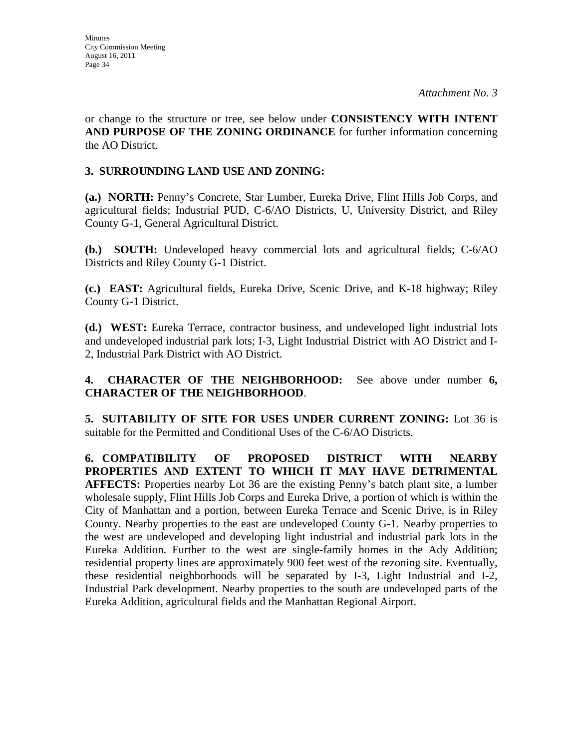or change to the structure or tree, see below under **CONSISTENCY WITH INTENT AND PURPOSE OF THE ZONING ORDINANCE** for further information concerning the AO District.

## **3. SURROUNDING LAND USE AND ZONING:**

**(a.) NORTH:** Penny's Concrete, Star Lumber, Eureka Drive, Flint Hills Job Corps, and agricultural fields; Industrial PUD, C-6/AO Districts, U, University District, and Riley County G-1, General Agricultural District.

**(b.) SOUTH:** Undeveloped heavy commercial lots and agricultural fields; C-6/AO Districts and Riley County G-1 District.

**(c.) EAST:** Agricultural fields, Eureka Drive, Scenic Drive, and K-18 highway; Riley County G-1 District.

**(d.) WEST:** Eureka Terrace, contractor business, and undeveloped light industrial lots and undeveloped industrial park lots; I-3, Light Industrial District with AO District and I-2, Industrial Park District with AO District.

**4. CHARACTER OF THE NEIGHBORHOOD:** See above under number **6, CHARACTER OF THE NEIGHBORHOOD**.

**5. SUITABILITY OF SITE FOR USES UNDER CURRENT ZONING:** Lot 36 is suitable for the Permitted and Conditional Uses of the C-6/AO Districts.

**6. COMPATIBILITY OF PROPOSED DISTRICT WITH NEARBY PROPERTIES AND EXTENT TO WHICH IT MAY HAVE DETRIMENTAL AFFECTS:** Properties nearby Lot 36 are the existing Penny's batch plant site, a lumber wholesale supply, Flint Hills Job Corps and Eureka Drive, a portion of which is within the City of Manhattan and a portion, between Eureka Terrace and Scenic Drive, is in Riley County. Nearby properties to the east are undeveloped County G-1. Nearby properties to the west are undeveloped and developing light industrial and industrial park lots in the Eureka Addition. Further to the west are single-family homes in the Ady Addition; residential property lines are approximately 900 feet west of the rezoning site. Eventually, these residential neighborhoods will be separated by I-3, Light Industrial and I-2, Industrial Park development. Nearby properties to the south are undeveloped parts of the Eureka Addition, agricultural fields and the Manhattan Regional Airport.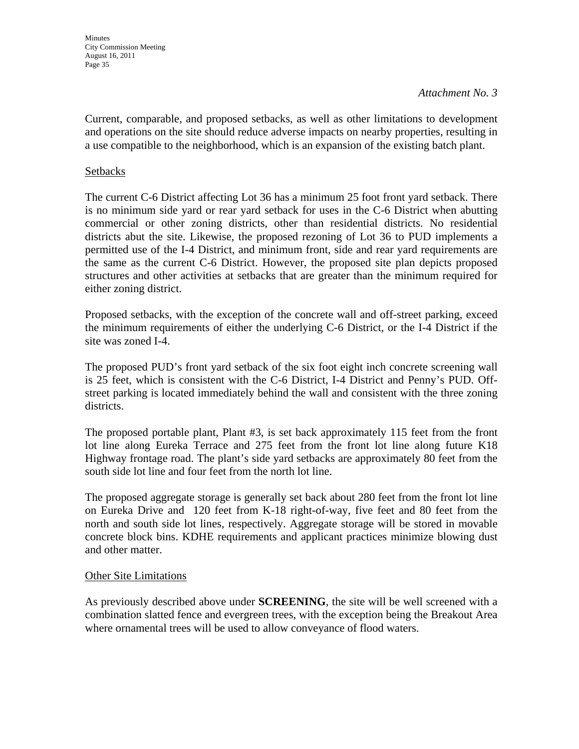Current, comparable, and proposed setbacks, as well as other limitations to development and operations on the site should reduce adverse impacts on nearby properties, resulting in a use compatible to the neighborhood, which is an expansion of the existing batch plant.

### **Setbacks**

The current C-6 District affecting Lot 36 has a minimum 25 foot front yard setback. There is no minimum side yard or rear yard setback for uses in the C-6 District when abutting commercial or other zoning districts, other than residential districts. No residential districts abut the site. Likewise, the proposed rezoning of Lot 36 to PUD implements a permitted use of the I-4 District, and minimum front, side and rear yard requirements are the same as the current C-6 District. However, the proposed site plan depicts proposed structures and other activities at setbacks that are greater than the minimum required for either zoning district.

Proposed setbacks, with the exception of the concrete wall and off-street parking, exceed the minimum requirements of either the underlying C-6 District, or the I-4 District if the site was zoned I-4.

The proposed PUD's front yard setback of the six foot eight inch concrete screening wall is 25 feet, which is consistent with the C-6 District, I-4 District and Penny's PUD. Offstreet parking is located immediately behind the wall and consistent with the three zoning districts.

The proposed portable plant, Plant #3, is set back approximately 115 feet from the front lot line along Eureka Terrace and 275 feet from the front lot line along future K18 Highway frontage road. The plant's side yard setbacks are approximately 80 feet from the south side lot line and four feet from the north lot line.

The proposed aggregate storage is generally set back about 280 feet from the front lot line on Eureka Drive and 120 feet from K-18 right-of-way, five feet and 80 feet from the north and south side lot lines, respectively. Aggregate storage will be stored in movable concrete block bins. KDHE requirements and applicant practices minimize blowing dust and other matter.

### Other Site Limitations

As previously described above under **SCREENING**, the site will be well screened with a combination slatted fence and evergreen trees, with the exception being the Breakout Area where ornamental trees will be used to allow conveyance of flood waters.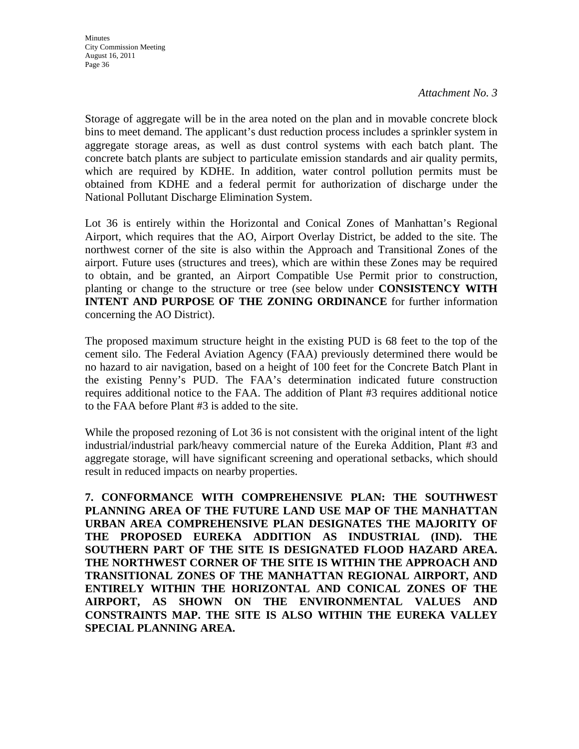Storage of aggregate will be in the area noted on the plan and in movable concrete block bins to meet demand. The applicant's dust reduction process includes a sprinkler system in aggregate storage areas, as well as dust control systems with each batch plant. The concrete batch plants are subject to particulate emission standards and air quality permits, which are required by KDHE. In addition, water control pollution permits must be obtained from KDHE and a federal permit for authorization of discharge under the National Pollutant Discharge Elimination System.

Lot 36 is entirely within the Horizontal and Conical Zones of Manhattan's Regional Airport, which requires that the AO, Airport Overlay District, be added to the site. The northwest corner of the site is also within the Approach and Transitional Zones of the airport. Future uses (structures and trees), which are within these Zones may be required to obtain, and be granted, an Airport Compatible Use Permit prior to construction, planting or change to the structure or tree (see below under **CONSISTENCY WITH INTENT AND PURPOSE OF THE ZONING ORDINANCE** for further information concerning the AO District).

The proposed maximum structure height in the existing PUD is 68 feet to the top of the cement silo. The Federal Aviation Agency (FAA) previously determined there would be no hazard to air navigation, based on a height of 100 feet for the Concrete Batch Plant in the existing Penny's PUD. The FAA's determination indicated future construction requires additional notice to the FAA. The addition of Plant #3 requires additional notice to the FAA before Plant #3 is added to the site.

While the proposed rezoning of Lot 36 is not consistent with the original intent of the light industrial/industrial park/heavy commercial nature of the Eureka Addition, Plant #3 and aggregate storage, will have significant screening and operational setbacks, which should result in reduced impacts on nearby properties.

**7. CONFORMANCE WITH COMPREHENSIVE PLAN: THE SOUTHWEST PLANNING AREA OF THE FUTURE LAND USE MAP OF THE MANHATTAN URBAN AREA COMPREHENSIVE PLAN DESIGNATES THE MAJORITY OF THE PROPOSED EUREKA ADDITION AS INDUSTRIAL (IND). THE SOUTHERN PART OF THE SITE IS DESIGNATED FLOOD HAZARD AREA. THE NORTHWEST CORNER OF THE SITE IS WITHIN THE APPROACH AND TRANSITIONAL ZONES OF THE MANHATTAN REGIONAL AIRPORT, AND ENTIRELY WITHIN THE HORIZONTAL AND CONICAL ZONES OF THE AIRPORT, AS SHOWN ON THE ENVIRONMENTAL VALUES AND CONSTRAINTS MAP. THE SITE IS ALSO WITHIN THE EUREKA VALLEY SPECIAL PLANNING AREA.**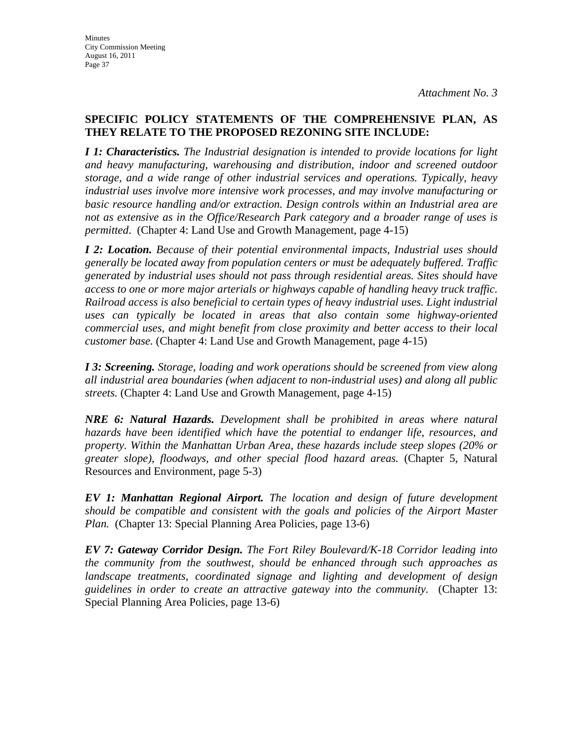## **SPECIFIC POLICY STATEMENTS OF THE COMPREHENSIVE PLAN, AS THEY RELATE TO THE PROPOSED REZONING SITE INCLUDE:**

*I 1: Characteristics. The Industrial designation is intended to provide locations for light and heavy manufacturing, warehousing and distribution, indoor and screened outdoor storage, and a wide range of other industrial services and operations. Typically, heavy industrial uses involve more intensive work processes, and may involve manufacturing or basic resource handling and/or extraction. Design controls within an Industrial area are not as extensive as in the Office/Research Park category and a broader range of uses is permitted*. (Chapter 4: Land Use and Growth Management, page 4-15)

*I 2: Location. Because of their potential environmental impacts, Industrial uses should generally be located away from population centers or must be adequately buffered. Traffic generated by industrial uses should not pass through residential areas. Sites should have access to one or more major arterials or highways capable of handling heavy truck traffic. Railroad access is also beneficial to certain types of heavy industrial uses. Light industrial uses can typically be located in areas that also contain some highway-oriented commercial uses, and might benefit from close proximity and better access to their local customer base.* (Chapter 4: Land Use and Growth Management, page 4-15)

*I 3: Screening. Storage, loading and work operations should be screened from view along all industrial area boundaries (when adjacent to non-industrial uses) and along all public streets.* (Chapter 4: Land Use and Growth Management, page 4-15)

*NRE 6: Natural Hazards. Development shall be prohibited in areas where natural hazards have been identified which have the potential to endanger life, resources, and property. Within the Manhattan Urban Area, these hazards include steep slopes (20% or greater slope), floodways, and other special flood hazard areas.* (Chapter 5, Natural Resources and Environment, page 5-3)

*EV 1: Manhattan Regional Airport. The location and design of future development should be compatible and consistent with the goals and policies of the Airport Master Plan.* (Chapter 13: Special Planning Area Policies, page 13-6)

*EV 7: Gateway Corridor Design. The Fort Riley Boulevard/K-18 Corridor leading into the community from the southwest, should be enhanced through such approaches as landscape treatments, coordinated signage and lighting and development of design guidelines in order to create an attractive gateway into the community.* (Chapter 13: Special Planning Area Policies, page 13-6)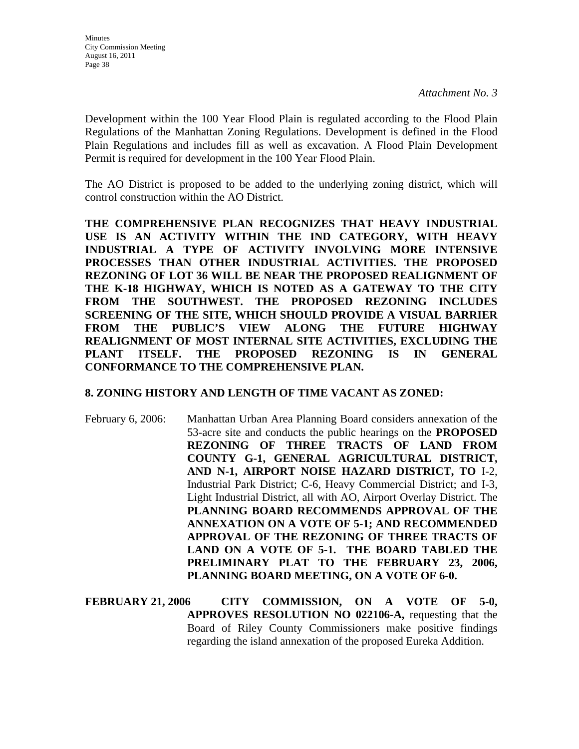Development within the 100 Year Flood Plain is regulated according to the Flood Plain Regulations of the Manhattan Zoning Regulations. Development is defined in the Flood Plain Regulations and includes fill as well as excavation. A Flood Plain Development Permit is required for development in the 100 Year Flood Plain.

The AO District is proposed to be added to the underlying zoning district, which will control construction within the AO District.

**THE COMPREHENSIVE PLAN RECOGNIZES THAT HEAVY INDUSTRIAL USE IS AN ACTIVITY WITHIN THE IND CATEGORY, WITH HEAVY INDUSTRIAL A TYPE OF ACTIVITY INVOLVING MORE INTENSIVE PROCESSES THAN OTHER INDUSTRIAL ACTIVITIES. THE PROPOSED REZONING OF LOT 36 WILL BE NEAR THE PROPOSED REALIGNMENT OF THE K-18 HIGHWAY, WHICH IS NOTED AS A GATEWAY TO THE CITY FROM THE SOUTHWEST. THE PROPOSED REZONING INCLUDES SCREENING OF THE SITE, WHICH SHOULD PROVIDE A VISUAL BARRIER FROM THE PUBLIC'S VIEW ALONG THE FUTURE HIGHWAY REALIGNMENT OF MOST INTERNAL SITE ACTIVITIES, EXCLUDING THE PLANT ITSELF. THE PROPOSED REZONING IS IN GENERAL CONFORMANCE TO THE COMPREHENSIVE PLAN.**

### **8. ZONING HISTORY AND LENGTH OF TIME VACANT AS ZONED:**

- February 6, 2006: Manhattan Urban Area Planning Board considers annexation of the 53-acre site and conducts the public hearings on the **PROPOSED REZONING OF THREE TRACTS OF LAND FROM COUNTY G-1, GENERAL AGRICULTURAL DISTRICT, AND N-1, AIRPORT NOISE HAZARD DISTRICT, TO** I-2, Industrial Park District; C-6, Heavy Commercial District; and I-3, Light Industrial District, all with AO, Airport Overlay District. The **PLANNING BOARD RECOMMENDS APPROVAL OF THE ANNEXATION ON A VOTE OF 5-1; AND RECOMMENDED APPROVAL OF THE REZONING OF THREE TRACTS OF LAND ON A VOTE OF 5-1. THE BOARD TABLED THE PRELIMINARY PLAT TO THE FEBRUARY 23, 2006, PLANNING BOARD MEETING, ON A VOTE OF 6-0.**
- **FEBRUARY 21, 2006 CITY COMMISSION, ON A VOTE OF 5-0, APPROVES RESOLUTION NO 022106-A,** requesting that the Board of Riley County Commissioners make positive findings regarding the island annexation of the proposed Eureka Addition.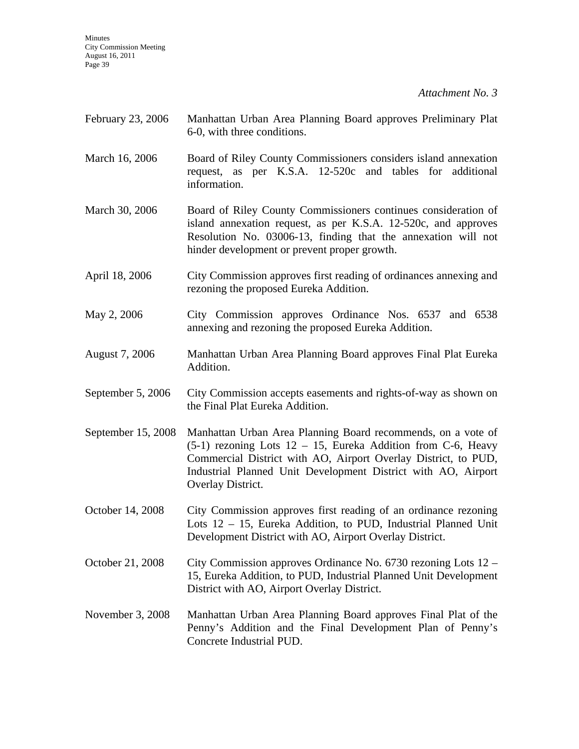Minutes City Commission Meeting August 16, 2011 Page 39

*Attachment No. 3*

| February 23, 2006  | Manhattan Urban Area Planning Board approves Preliminary Plat<br>6-0, with three conditions.                                                                                                                                                                                           |
|--------------------|----------------------------------------------------------------------------------------------------------------------------------------------------------------------------------------------------------------------------------------------------------------------------------------|
| March 16, 2006     | Board of Riley County Commissioners considers island annexation<br>request, as per K.S.A. 12-520c and tables for<br>additional<br>information.                                                                                                                                         |
| March 30, 2006     | Board of Riley County Commissioners continues consideration of<br>island annexation request, as per K.S.A. 12-520c, and approves<br>Resolution No. 03006-13, finding that the annexation will not<br>hinder development or prevent proper growth.                                      |
| April 18, 2006     | City Commission approves first reading of ordinances annexing and<br>rezoning the proposed Eureka Addition.                                                                                                                                                                            |
| May 2, 2006        | City Commission approves Ordinance Nos. 6537 and 6538<br>annexing and rezoning the proposed Eureka Addition.                                                                                                                                                                           |
| August 7, 2006     | Manhattan Urban Area Planning Board approves Final Plat Eureka<br>Addition.                                                                                                                                                                                                            |
| September 5, 2006  | City Commission accepts easements and rights-of-way as shown on<br>the Final Plat Eureka Addition.                                                                                                                                                                                     |
| September 15, 2008 | Manhattan Urban Area Planning Board recommends, on a vote of<br>$(5-1)$ rezoning Lots 12 – 15, Eureka Addition from C-6, Heavy<br>Commercial District with AO, Airport Overlay District, to PUD,<br>Industrial Planned Unit Development District with AO, Airport<br>Overlay District. |
| October 14, 2008   | City Commission approves first reading of an ordinance rezoning<br>Lots 12 - 15, Eureka Addition, to PUD, Industrial Planned Unit<br>Development District with AO, Airport Overlay District.                                                                                           |
| October 21, 2008   | City Commission approves Ordinance No. $6730$ rezoning Lots $12$ –<br>15, Eureka Addition, to PUD, Industrial Planned Unit Development<br>District with AO, Airport Overlay District.                                                                                                  |
| November 3, 2008   | Manhattan Urban Area Planning Board approves Final Plat of the<br>Penny's Addition and the Final Development Plan of Penny's<br>Concrete Industrial PUD.                                                                                                                               |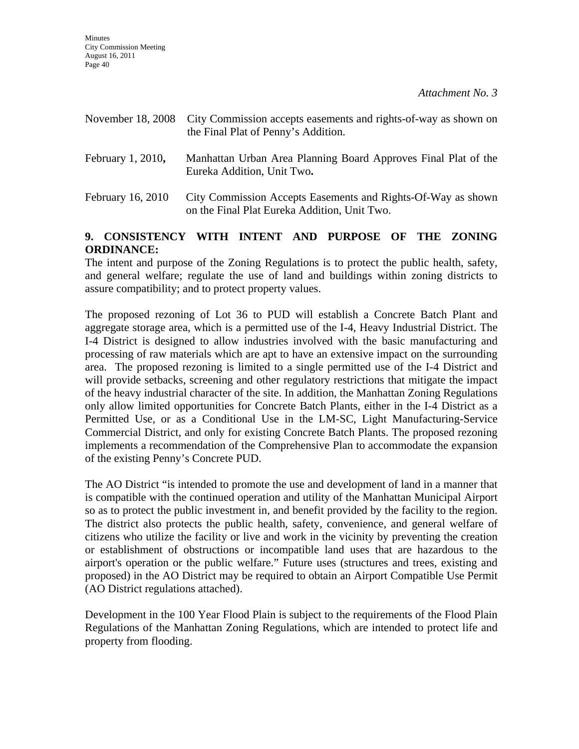| November 18, 2008 | City Commission accepts easements and rights-of-way as shown on<br>the Final Plat of Penny's Addition.       |
|-------------------|--------------------------------------------------------------------------------------------------------------|
| February 1, 2010, | Manhattan Urban Area Planning Board Approves Final Plat of the<br>Eureka Addition, Unit Two.                 |
| February 16, 2010 | City Commission Accepts Easements and Rights-Of-Way as shown<br>on the Final Plat Eureka Addition, Unit Two. |

## **9. CONSISTENCY WITH INTENT AND PURPOSE OF THE ZONING ORDINANCE:**

The intent and purpose of the Zoning Regulations is to protect the public health, safety, and general welfare; regulate the use of land and buildings within zoning districts to assure compatibility; and to protect property values.

The proposed rezoning of Lot 36 to PUD will establish a Concrete Batch Plant and aggregate storage area, which is a permitted use of the I-4, Heavy Industrial District. The I-4 District is designed to allow industries involved with the basic manufacturing and processing of raw materials which are apt to have an extensive impact on the surrounding area. The proposed rezoning is limited to a single permitted use of the I-4 District and will provide setbacks, screening and other regulatory restrictions that mitigate the impact of the heavy industrial character of the site. In addition, the Manhattan Zoning Regulations only allow limited opportunities for Concrete Batch Plants, either in the I-4 District as a Permitted Use, or as a Conditional Use in the LM-SC, Light Manufacturing-Service Commercial District, and only for existing Concrete Batch Plants. The proposed rezoning implements a recommendation of the Comprehensive Plan to accommodate the expansion of the existing Penny's Concrete PUD.

The AO District "is intended to promote the use and development of land in a manner that is compatible with the continued operation and utility of the Manhattan Municipal Airport so as to protect the public investment in, and benefit provided by the facility to the region. The district also protects the public health, safety, convenience, and general welfare of citizens who utilize the facility or live and work in the vicinity by preventing the creation or establishment of obstructions or incompatible land uses that are hazardous to the airport's operation or the public welfare." Future uses (structures and trees, existing and proposed) in the AO District may be required to obtain an Airport Compatible Use Permit (AO District regulations attached).

Development in the 100 Year Flood Plain is subject to the requirements of the Flood Plain Regulations of the Manhattan Zoning Regulations, which are intended to protect life and property from flooding.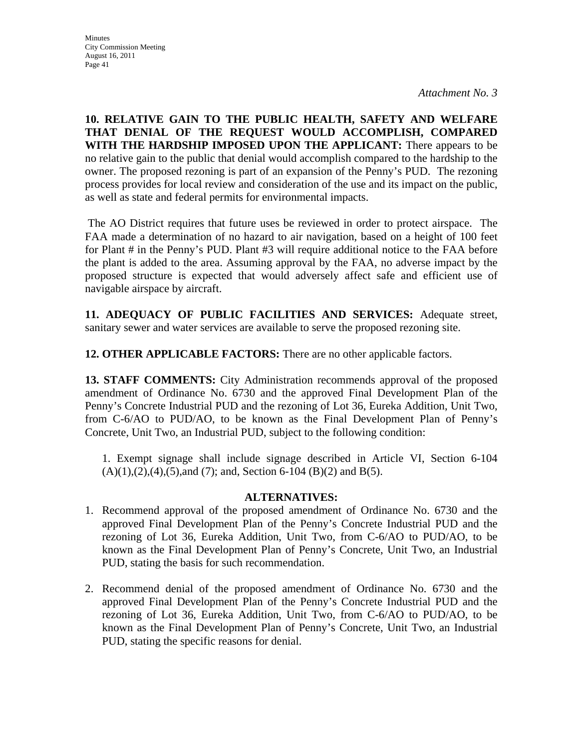**10. RELATIVE GAIN TO THE PUBLIC HEALTH, SAFETY AND WELFARE THAT DENIAL OF THE REQUEST WOULD ACCOMPLISH, COMPARED WITH THE HARDSHIP IMPOSED UPON THE APPLICANT:** There appears to be no relative gain to the public that denial would accomplish compared to the hardship to the owner. The proposed rezoning is part of an expansion of the Penny's PUD. The rezoning process provides for local review and consideration of the use and its impact on the public, as well as state and federal permits for environmental impacts.

 The AO District requires that future uses be reviewed in order to protect airspace. The FAA made a determination of no hazard to air navigation, based on a height of 100 feet for Plant # in the Penny's PUD. Plant #3 will require additional notice to the FAA before the plant is added to the area. Assuming approval by the FAA, no adverse impact by the proposed structure is expected that would adversely affect safe and efficient use of navigable airspace by aircraft.

**11. ADEQUACY OF PUBLIC FACILITIES AND SERVICES:** Adequate street, sanitary sewer and water services are available to serve the proposed rezoning site.

**12. OTHER APPLICABLE FACTORS:** There are no other applicable factors.

**13. STAFF COMMENTS:** City Administration recommends approval of the proposed amendment of Ordinance No. 6730 and the approved Final Development Plan of the Penny's Concrete Industrial PUD and the rezoning of Lot 36, Eureka Addition, Unit Two, from C-6/AO to PUD/AO, to be known as the Final Development Plan of Penny's Concrete, Unit Two, an Industrial PUD, subject to the following condition:

1. Exempt signage shall include signage described in Article VI, Section 6-104  $(A)(1),(2),(4),(5)$ , and  $(7)$ ; and, Section 6-104  $(B)(2)$  and  $B(5)$ .

### **ALTERNATIVES:**

- 1. Recommend approval of the proposed amendment of Ordinance No. 6730 and the approved Final Development Plan of the Penny's Concrete Industrial PUD and the rezoning of Lot 36, Eureka Addition, Unit Two, from C-6/AO to PUD/AO, to be known as the Final Development Plan of Penny's Concrete, Unit Two, an Industrial PUD, stating the basis for such recommendation.
- 2. Recommend denial of the proposed amendment of Ordinance No. 6730 and the approved Final Development Plan of the Penny's Concrete Industrial PUD and the rezoning of Lot 36, Eureka Addition, Unit Two, from C-6/AO to PUD/AO, to be known as the Final Development Plan of Penny's Concrete, Unit Two, an Industrial PUD, stating the specific reasons for denial.